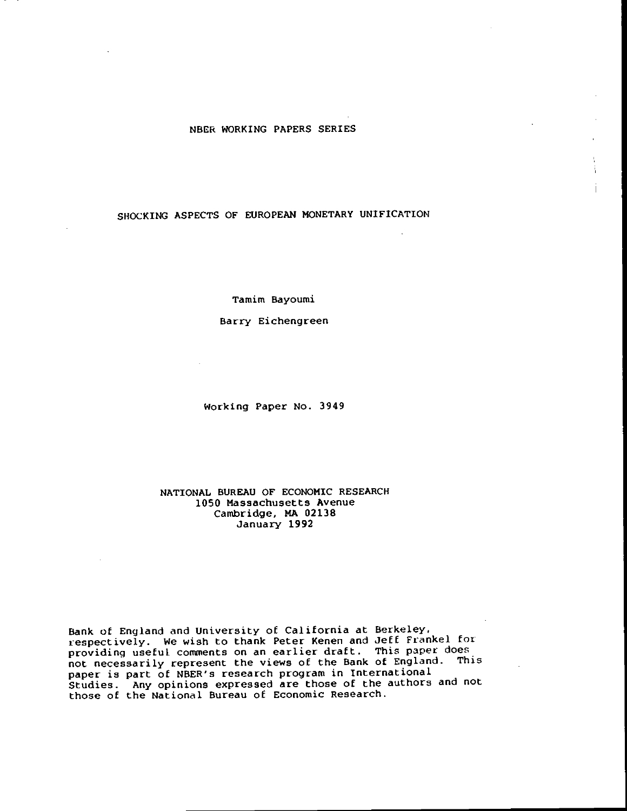## NBER WORKING PAPERS SERIES

## SHOCKING ASPECTS OF EUROPEAN MONETARY UNIFICATION

Tamim Bayoumi

Barry Eichengreen

 $\mathcal{A}$ 

Working Paper No. 3949

## NATIONAL BUREAU OF ECONOMIC RESEARCH 1050 Massachusetts Avenue Cambridge, MA 02138 January 1992

Bank of England and University of California at Berkeley. respectively. We wish to thank Peter Kenen and Jeff Frankel for providing useful. comments on an earlier draft. This paper does not necessarily represent the views of the Bank of England. This paper is part of NBER's research program in International Studies. Any opinions expressed are those of the authors and not those of the National Bureau of Economic Research.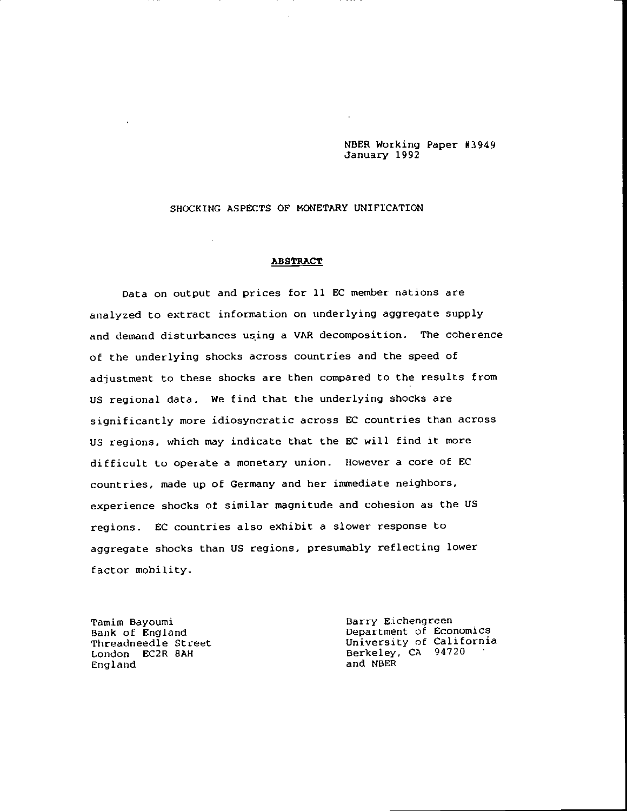NBER Working Paper #3949 January 1992

## SHOCKING ASPECTS OF MONETARY UNIFICATION

 $\sim 10^7$ 

#### **ABSTRACT**

Data on output and prices for 11 EC member nations are analyzed to extract information on underlying aggregate supply and demand disturbances using a VAR decomposition. The coherence of the underlying shocks across countries and the speed of adjustment to these shocks are then compared to the results from US regional data. We find that the underlying shocks are significantly more idiosyncratic across EC countries than across US regions, which may indicate that the EC will find it more difficult to operate a monetary union. However a core of EC countries, made up of Germany and her immediate neighbors, experience shocks of similar magnitude and cohesion as the US regions. EC countries also exhibit a slower response to aggregate shocks than US regions, presumably reflecting lower factor mobility.

England

Tamim Bayoumi<br>
Bank of England Department of Economics<br>
Threadneedle Street University of California<br>
London EC2R 8AH Berkeley, CA 94720 Berkeley, CA 94720<br>and NBER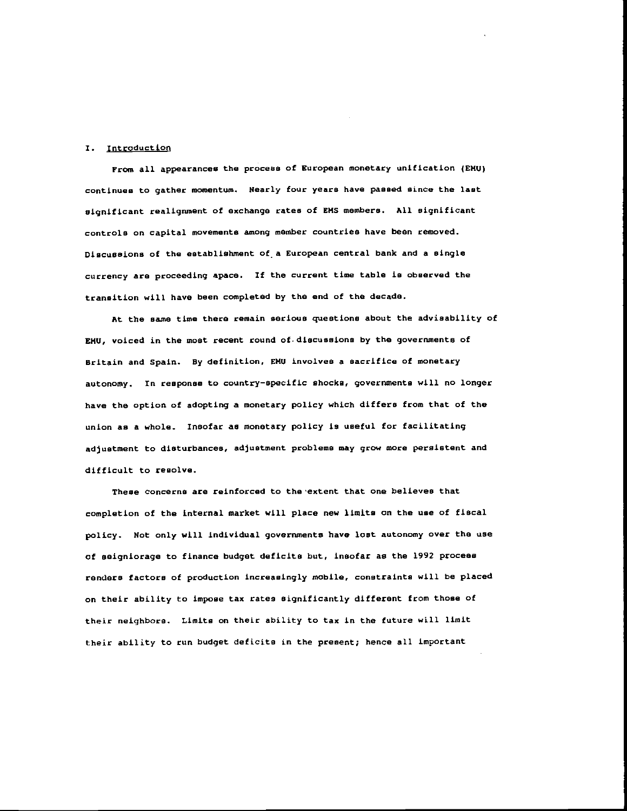#### I. Introduction

From all appearances the process of European monetary unification (EMU) continues to gather momentum. Nearly four years have passed since the last significant realignment of exchange rates of EMS members. All significant controls on capital movements among member countries have been removed. Discussions of the establishment of a European central bank and a single currency are proceeding apace. If the current time table is observed the transition will have been completed by the end of the decade.

At the same time there remain serious questions about the advisability of EI4U, voiced in the most recent round of.discussions by the governments of Britain and Spain. By definition, EMU involves a sacrifice of monetary autonomy. In response to country—specific shocks, governments will no longer have the option of adopting a monetary policy which differs from that of the union as a whole. Insofar as monetary policy is useful for facilitating adjustment to disturbances, adjustment problems may grow more persistent and difficult to resolve.

These concerns are reinforced to the extent that one believes that completion of the internal market will place new limits on the use of fiscal policy. Not only will individual governments have lost autonomy over the use of seigniorage to finance budget deficits but, insofar as the 1992 process renders factors of production increasingly mobile, constraints will be placed on their ability to impose tax rates significantly different from those of their neighbors. Limits on their ability to tax in the future will limit their ability to run budget deficits in the present; hence all important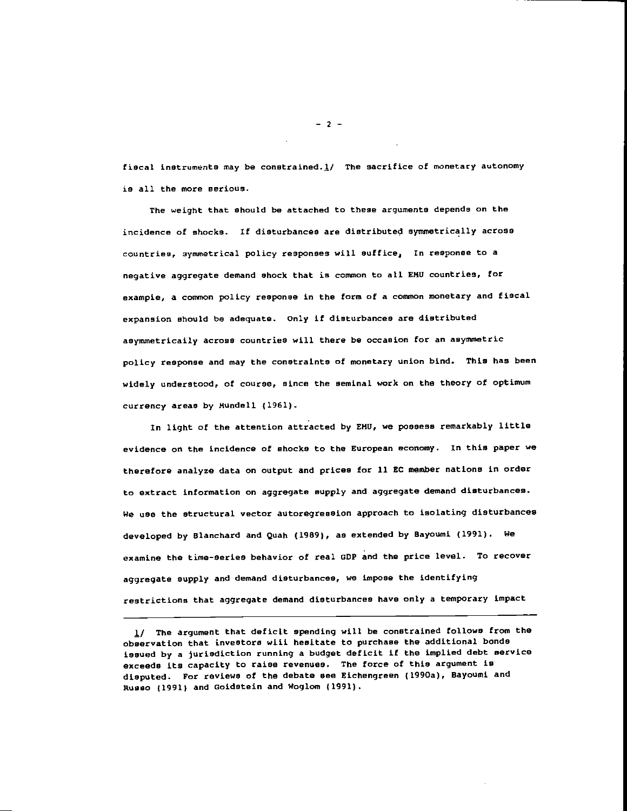fiscal instruments may be constrained. $\frac{1}{2}$  The sacrifice of monetary autonomy is all the more serious.

The weight that should be attached to these arguments depends on the incidence of shocks. If disturbances are distributed symmetrically across countries, symmetrical policy responses will suffice, In response to a negative aggregate demand shock that is common to all EMU countries, for exampie, a common policy response in the form of a common monetary and fiscal expansion should be adequate. Only if disturbances are distributed asymmetrically across countries will there be occasion for an asymmetric policy response and may the constraints of monetary union bind. This has been widely understood, of course, since the seminal work on the theory of optimum currency areas by Mundell (1961).

In light of the attention attracted by EMU, we possess remarkably little evidence on the incidence of shocks to the European economy. In this paper we therefore analyze data on output and prices for 11 EC member nations in order to extract information on aggregate supply and aggregate demand disturbances. We use the structural vector autoregression approach to isolating disturbances developed by Blanchard and Quah (1989), as extended by Bayoumi (1991). We examine the time-series behavior of real GDP and the price level. To recover aggregate supply and demand disturbances, we impose the identifying restrictions that aggregate demand disturbances have only a temporary impact

—2—

<sup>1/</sup> The argument that deficit spending will be constrained follows from the observation that investors will hesitate to purchase the additional bonds issued by a jurisdiction running a budget deficit if the implied debt service exceeds its capacity to raise revenues. The force of this argument is disputed. For reviews of the debate see Eichengreen (1990a), Bayoumi and Russo (1991) and Goidstein and Woglom (1991).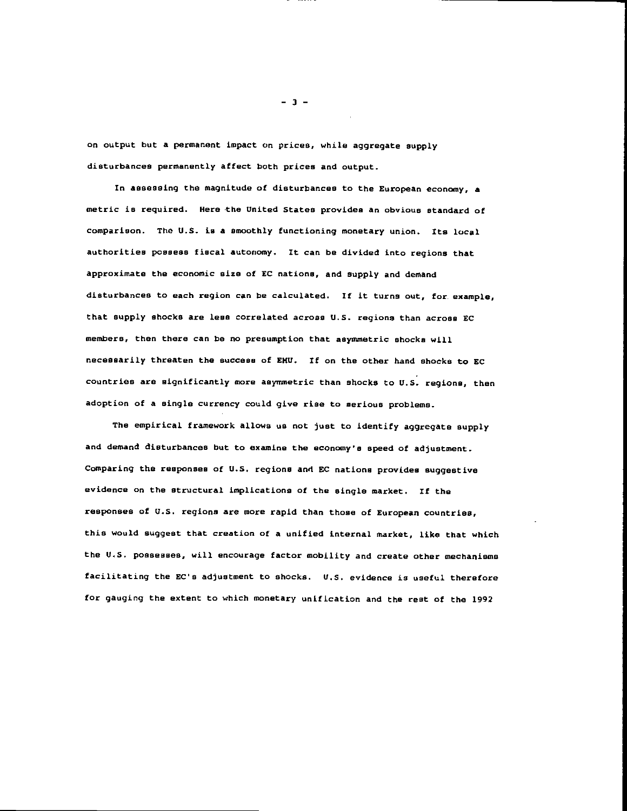on output but a permanent impact on prices, while aggregate supply disturbances permanently affect both prices and output.

In assessing the magnitude of disturbances to the European economy, a metric is required. Here the United States provides an obvious standard of comparison. The U.S. is a smoothly functioning monetary union, Its local authorities possess fiscal autonomy. It can be divided into regions that approximate the economic size of EC nations, and supply and demand disturbances to each region can be calculated. If it turns out, for example, that supply shocks are less correlated across U.S. regions than across EC members, then there can be no presumption that asymmetric shocks will necessarily threaten the success of EIW. If on the other hand shocks to EC countries are significantly more asymmetric than shocks to U.S. regions, then adoption of a single currency could give rise to serious problems.

The empirical framework allows us not just to identify aggregate supply and demand disturbances but to examine the economy's speed of adjustment. Comparing the responses of U.S. regions and EC nations provides suggestive evidence on the structural implications of the single market. If the responses of (1.5. regions are more rapid than those of European countries, this would suggest that creation of a unified internal market, like that which the U.S. possesses, will encourage factor mobility and create other mechanisms facilitating the EC's adjustment to shocks. U.S. evidence is useful therefore for gauging the extent to which monetary unification and the rest of the 1992

—3—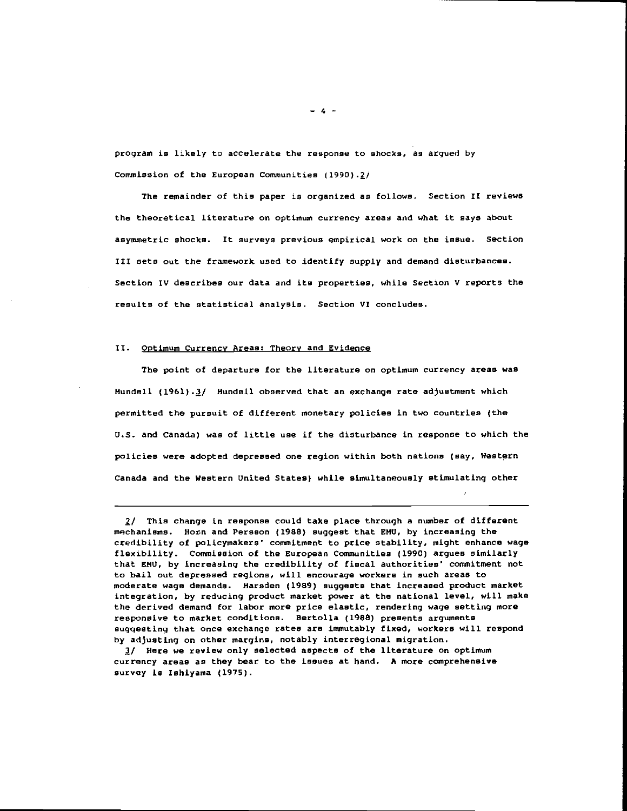program is likely to accelerate the response to shocks, as argued by Commission of the European Communities (1990).2/

The remainder of this paper is organized as follows. Section II reviews the theoretical literature on optimum currency areas and what it says about asymmetric shocks, It surveys previous empirical work on the issue. Section III sets out the framework used to identify supply and demand disturbances. Section IV describes our data and its properties, while Section V reports the results of the statistical analysis. Section VI concludes.

#### II. Optimum Currency Areas: Theory and Evidence

The point of departure for the literature on optimum currency areas was Mundell (1961).3/ Mundell observed that an exchange rate adjustment which permitted the pursuit of different monetary policies in two countries (the U.S. and Canada) was of little use if the disturbance in response to which the policies were adopted depressed one region within both nations (say, Western Canada and the Western United States) while simultaneously stimulating other

3/ Here we review only selected aspects of the literature on optimum currency areas as they bear to the issues at hand. A more comprehensive survey is Ishiyama (1975).

 $-4 -$ 

 $2/$  This change in response could take place through a number of different mechanisms. Horn and Persson (1988) suggest that EMU, by increasing the credibility of policymakers' commitment to price stability, might enhance wage flexibility. Commission of the European Communities (1990) argues similarly that EHU, by increasing the credibility of fiscal authorities' commitment not to bail out depressed regions, will encourage workers in such areas to moderate wags demands. Marsden (1989) suggests that increased product market integration, by reducing product market power at the national level, will make the derived demand for labor more price elastic, rendering wage setting more responsive to market conditions. Bertolla (198B) presents arguments suggesting that once exchange rates are immutably fixed, workers will respond by adjusting on other margins, notably interregional migration.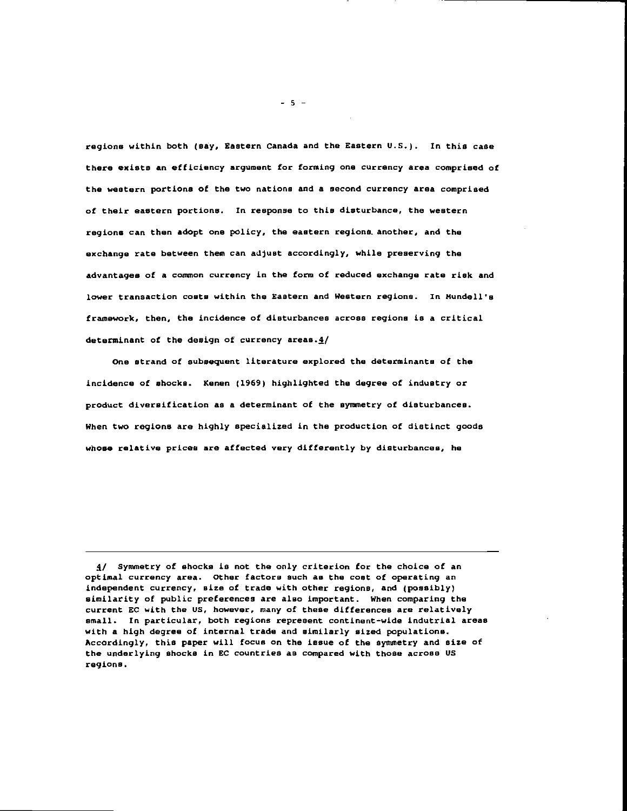regions within both (say, Eastern Canada and the Eastern U.S.). In this case there exists an efficiency argument for forming one currency area comprised of the western portions of the two nations and a second currency area comprised of their eastern portions. In response to this disturbance, the western regions can then adopt one policy, the eastern regions, another, and the exchange rate between them can adjust accordingly, while preserving the advantages of a common currency in the form of reduced exchange rate risk and lower transaction coats within the Eastern and Western regions. In Mundell's framework, then, the incidence of disturbances across regions is a critical determinant of the design of currency areas. $4/$ 

One strand of subsequent literature explored the determinants of the incidence of shocks. Kenen (1969) highlighted the degree of industry or product diversification as a determinant of the synnetry of disturbances. When two regione are highly specialized in the production of distinct goods whose relative prices are affected very differently by disturbances, he

ff Syamietry of shocks is not the only criterion for the choice of an optimal currency area, other factors such as the cost of operating an independent currency, size of trade with other regions, and (possibly) similarity of public preferences are also important. When comparing the current EC with the US, however, many of these differences are relatively small. In particular, both regions represent continent—wide indutrial areas with a high degree of internal trade and similarly sized populations. Accordingly, this paper will focus on the issue of the symmetry and size of the underlying shocks in EC countries as compared with those across Us regions.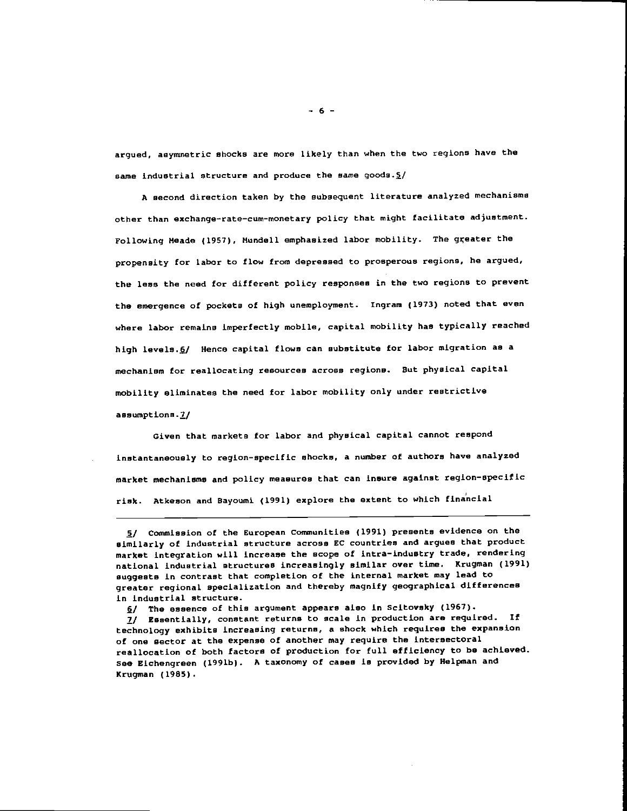argued, asymmetric shocks are more likely than when the two regions have the same industrial structure and produce the same goods.5/

A second direction taken by the subsequent literature analyzed mechanisms other than exchange—rate—cum—monetary policy that might facilitate adjustment. Following Meade (1957), Mundell emphasized labor mobility. The greater the propensity for labor to flow from depressed to prosperous regions, he argued, the less the need for different policy responses in the two regions to prevent the emergence of pockets of high unemployment. Ingram (1913) noted that even where labor remains imperfectly mobile, capital mobility has typically reached high levels.6/ Hence capital flows can substitute for labor migration as a mechanism for reallocating resources across regions. But physical capital mobility eliminates the need for labor mobility only under restrictive assumptions.7/

Given that markets for labor and physical capital cannot respond instantaneously to region-specific shocks, a number of authors have analyzed market mechanisms and policy measures that can insure against region—specific risk. Atkeson and Bayoumi (1991) explore the extent to which finincial

<sup>/</sup> Commission of the European Communities (1991) presents evidence on the similarly of industrial structure across EC countries and argues that product market integration will increase the scope of intra—industry trade, rendering national industrial structures increasingly similar over time. Krugman (1991) suggests in contrast that completion of the internal market may lead to greater regional specialization and thereby magnify geographical differences in industrial structure.

 $6/$  The essence of this argument appears also in Scitovsky (1967).

<sup>1/</sup> Essentially, constant returns to scale in production are required. If technology exhibits increasing returns, a shock which requires the expansion of one sector at the expense of another may require the intersectoral reallocation of both factors of production for full efficiency to be achieved. See Eichengreen (l991b). A taxonomy of cases is provided by Helpman and Krugman (1985).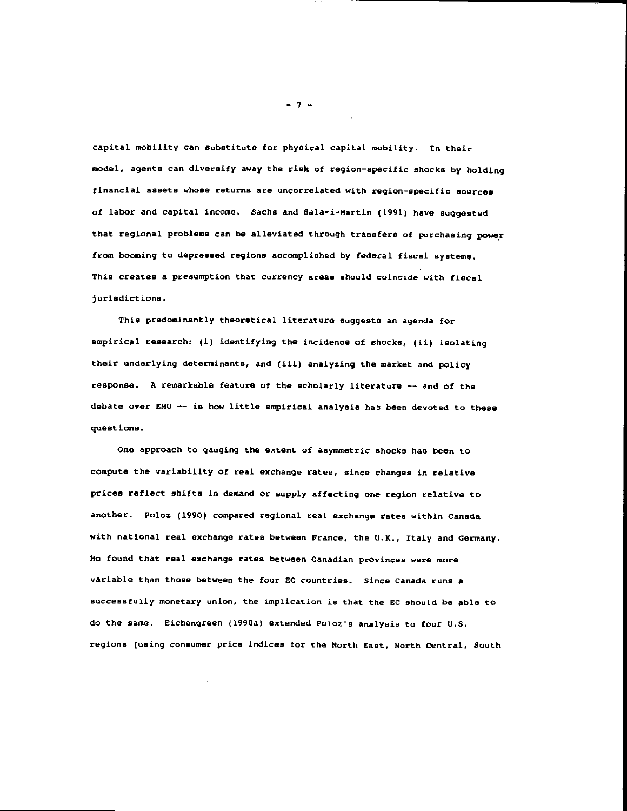capital mobility can substitute for physical capital mobility. In their model, agents can diversify away the risk of region—specific shocks by holding financial assets whose returns are uncorrelated with region-specific sources of labor and capital income. Sachs and Sala-i-Hartin (1991) have suggested that regional problems can be alleviated through transfers of purchasing power from booming to depressed regions accomplished by federal fiscal systeme. This creates a presumption that currency areas should coincide with fiscal jurisdictions.

This predominantly theoretical literature suggests an agenda for empirical research: (i) identifying the incidence of shocks, (ii) isolating their underlying determinants, and (iii) analyzing the market and policy response. A remarkable feature of the scholarly literature -- and of the debate over EMU -- is how little empirical analysis has been devoted to these quest ions.

One approach to gauging the extent of asymmetric shocks has been to compute the variability of real exchange rates, since changes in relative prices reflect shifts in demand or supply affecting one region relative to another. Poloz (1990) compared regional real exchange rates within Canada with national real exchange rates between France, the U.K., Italy and Germany. He found that real exchange rates between Canadian provinces were more variable than those between the four EC countries. Since Canada runs a successfully monetary union, the implication is that the EC should be able to do the same. Eichengreen (1990a) extended Poloz's analysis to four U.S. regions (using consumer price indices for the North East, North Central, South

—7—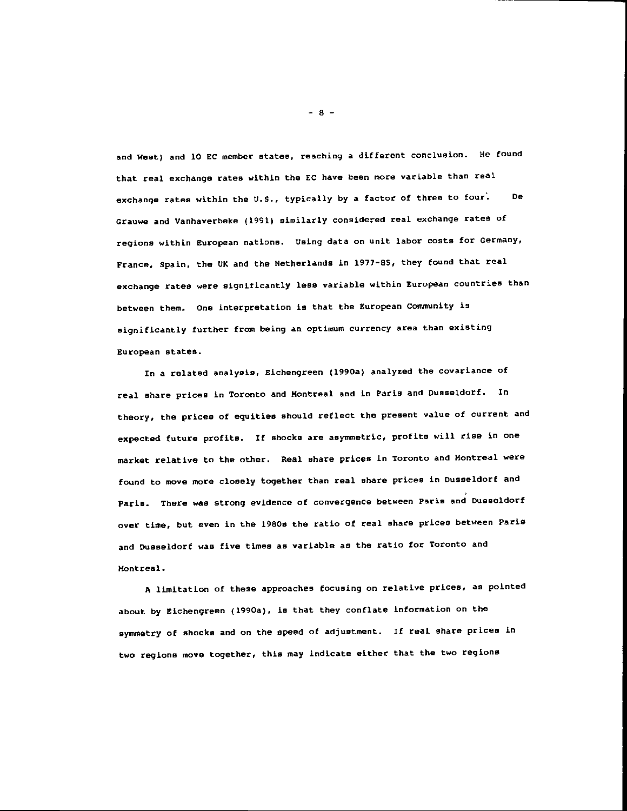and West) and 10 EC member states, reaching a different conclusion. He found that real exchange rates within the EC have been more variable than real exchange rates within the U.S., typically by a factor of three to four. De Grauwe and Vanhaverbeke (1991) similarly considered real exchange rates of regions within European nations. Using data on unit labor costs for Germany, France, Spain, the UK and the Netherlands in 1977—85, they found that real exchange rates were significantly less variable within European countries than between then. One interpretation is that the European Community is significantly further from being an optimum currency area than existing European states.

In a related analysis, Eichengreen (l990a) analyzed the covariance of real share prices in Toronto and Montreal and in Paris and Dusseldorf. In theory, the prices of equities should reflect the present value of current and expected future profits. If shocks are asymmetric, profits will rise in one market relative to the other. Real share prices in Toronto and Montreal were found to move more closely together than real share prices in Dusseldorf and Paris. There was strong evidence of convergence between Paris and Dusseldorf over time, but even in the l9SOe the ratio of real share prices between Paris and Dusseldorf was five times as variable as the ratio for Toronto and Montreal.

A limitation of these approaches focusing on relative prices, as pointed about by Eichengreen (1990a), is that they conflate information on the symmetry of shocks and on the speed of adjustment. If real share prices in two regions move together, this may indicate either that the two regions

-8—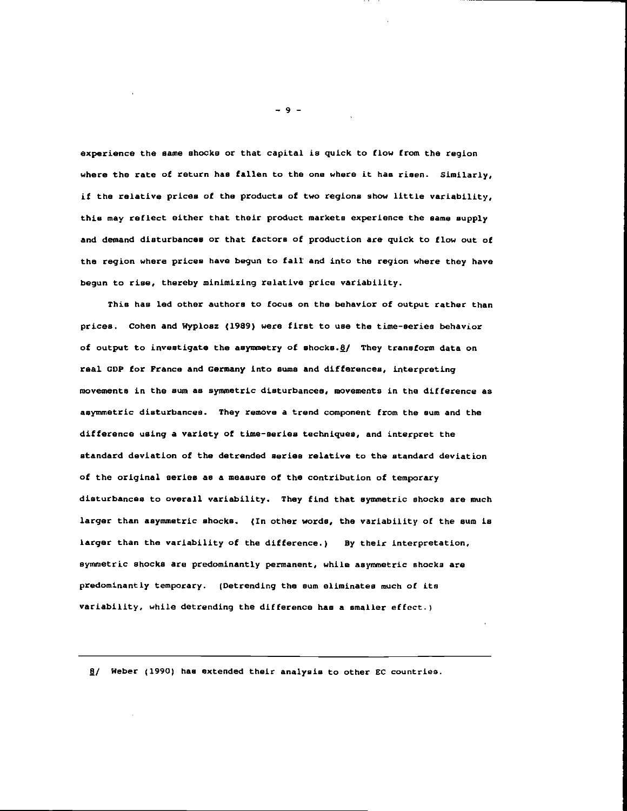experience the same shocks or that capital is quick to flow from the region where the rate of return has fallen to the one where it has risen. Similarly, if the relative prices of the products of two regions show little variability, this may reflect either that their product markets experience the same supply and demand disturbances or that factors of production are quick to flow out of the region where prices have begun to fall and into the region where they have begun to rise, thereby minimizing relative price variability.

This has led other authors to focus on the behavior of output rather than prices. Cohen and Wyploez (1989) were first to use the time-series behavior of output to investigate the asymmetry of shocks. $g/$  They transform data on real GDP for France and Germany into sums and differences, interpreting movements in the sum as symmetric disturbances, movements in the difference as asymmetric disturbances. They remove a trend component from the sum and the difference using a variety of time—series techniques, and interpret the standard deviation of the detrended series relative to the standard deviation of the original series as a measure of the contribution of temporary disturbances to overall variability. They find that symmetric shocks are much larger than asymmetric shocks. (In other words, the variability of the sum is larger than the variability of the difference.) By their interpretation, symmetric shocks are predominantly permanent, while asymmetric shocks are predominantly temporary. (Detrending the sum eliminates much of its variability, while detrending the difference has a smaller effect.)

8/ Weber (1990) has extended their analysis to other EC countries.

—9—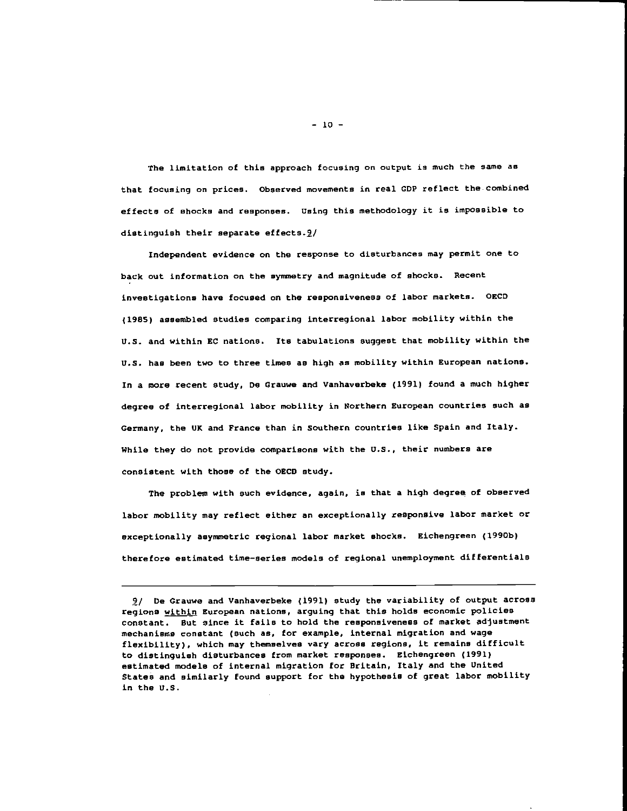The limitation of this approach focusing on output is much the sane as that focusing on prices. Observed movements in real CDP reflect the.combined effects of shocks and responses. Using this methodology it is impossible to distinguish their separate effects.2/

Independent evidence on the response to disturbances may permit one to back out information on the syimnetry and magnitude of shocks. Recent investigations have focused on the responsiveness of labor markets. OECD (1985) assembled studies comparing interregional labor mobility within the U.S. and within BC nations. Its tabulations suggest that mobility within the U.S. has been two to three tines as high as mobility within European nations. In a more recent study, Do Grauwe and Vanhaverbeke (1991) found a much higher degree of interregional labor mobility in Northern European countries such as Germany, the UK and France than in Southern countries like Spain and Italy. While they do not provide comparisons with the U.S., their numbers are consistent with those of the OECD study.

The problem with such evidence, again, is that a high degree of observed labor mobility may reflect either an exceptionally responsive labor market or exceptionally asymmetric regional labor market shocks. Eichengreen (l990b) therefore estimated time—series models of regional unemployment differentials

 $-10 -$ 

<sup>9</sup>f De Grauwe and Vanhaverbeke (1991) study the variability of output across regions within European nations, arguing that this holds economic policies constant. But since it fails to hold the responsiveness of market adjustment mechanisms constant (such as, for example, internal migration and wage flexibility), which may themselves vary across regions, it remains difficult to distinguish disturbances from market responses. Etchengreen (1991) estimated models of internal migration for Britain, Italy and the United States and similarly found support for the hypothesis of great labor mobility in the U.S.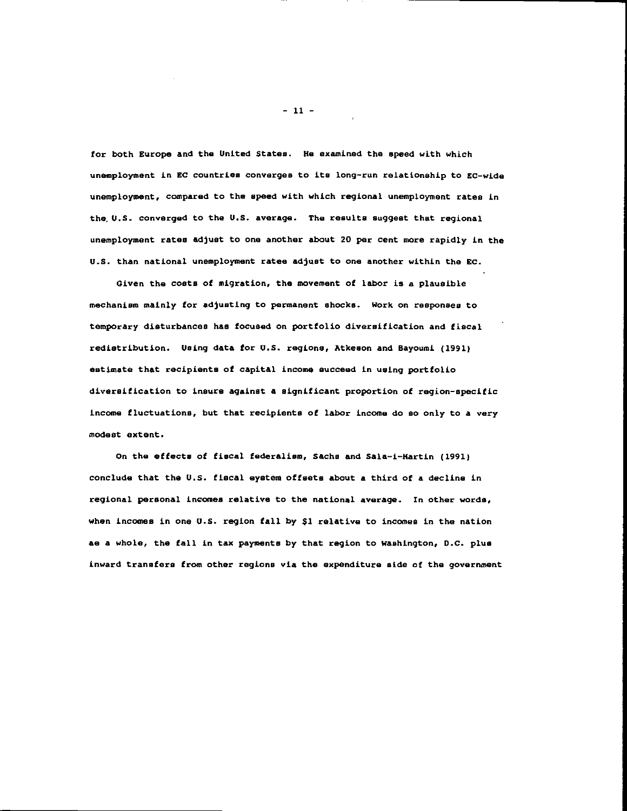for both Europe and the United States. He examined the speed with which unemployment in EC countries converges to its long—run relationship to SC—wide unemployment, compared to the speed with which regional unemployment rates in the U.S. converged to the U.S. average. The results suggest that regional unemployment rates adjust to one another about 20 per cent more rapidly in the U.S. than national unemployment rates adjust to one another within the EC.

Given the costs of migration, the movement of labor is a plausible mechanism mainly for adjusting to permanent shocks. Work on responses to temporary disturbances has focused on portfolio diversification and fiscal redistribution. Using data for U.S. regions, Atkeson and Bayoumi (1991) estimate that recipients of capital income succeed in using portfolio diversification to insure against a significant proportion of region—specific income fluctuations, but that recipients of labor income do so only to a very modest extent.

On the effects of fiscal federalism, Sachs and Sala—i—Martin (1991) conclude that the U.S. fiscal eystem offsets about a third of a decline in regional personal incomes relative to the national average. In other words, when incomes in one U.S. region tall by \$1 relative to incomes in the nation as a whole, the fall in tax payments by that region to Washington, D.C. plus inward transfers from other regions via the expenditure side of the government

 $-11 -$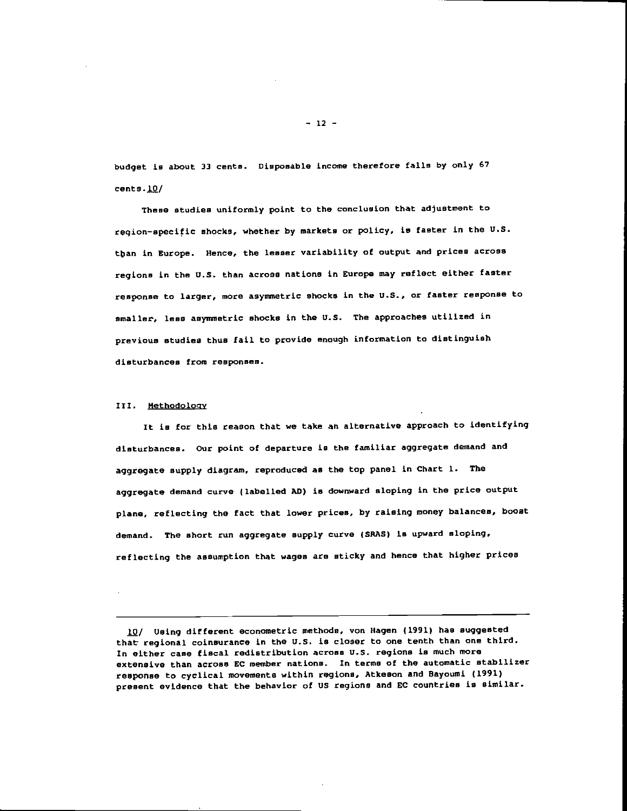budget is about 3) cents. Disposable income therefore falls by only 67 cents .10/

These studies uniformly point to the conclusion that adjustment to region—specific shocks, whether by markets or policy, is faster in the U.S. tban in Europe. Hence, the lesser variability of output and prices across regions in the U.S. than across nations in Europe may reflect either faster response to larger, more asymmetric shocks in the U.S., or faster response to smaller, less asymmetric shocks in the U.S. The approaches utilized in previous studies thus fail to provide enough information to distinguish disturbances from responses.

#### III. Methodoloav

It is for this reason that we take an alternative approach to identifying disturbances. Our point of departure is the familiar aggregate demand and aggregate supply diagram, reproduced as the top panel in Chart 1. The aggregate demand curve (labelled AD) is downward sloping in the price output plane, reflecting the fact that lower prices, by raising money balances, boost demand. The short run aggregate supply curve (SPAS) is upward sloping, reflecting the assumption that wages are sticky and hence that higher prices

 $-12 -$ 

<sup>10/</sup> Using different econometric methods, von Hagen (1991) has suggested that regional coinsurance in the U.S. is closer to one tenth than one third. In either case fiscal redistribution across U.S. regions is much more extensive than across EC member nations. In terms of the automatic stabilizer response to cyclical movements within regions, Atkeson and Dayoumi (1991) present evidence that the behavior of US regions and EC countries is similar.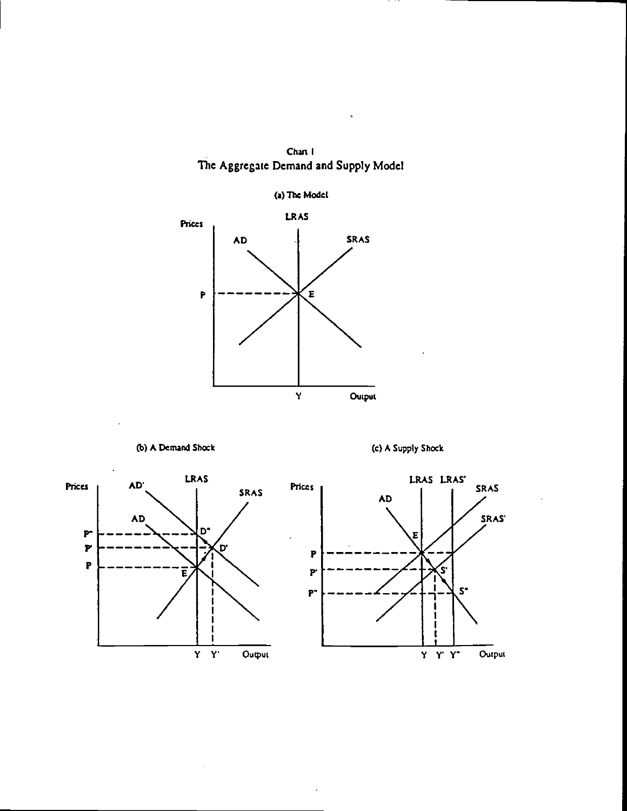









 $\ddot{\phantom{a}}$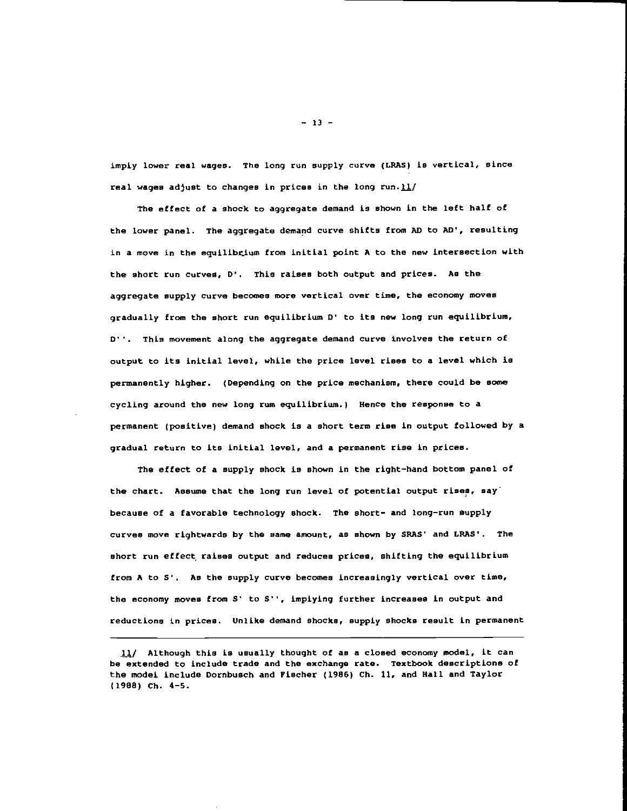imply lower real wages. The long run supply curve (LRAS) is vertical, since real wages adjust to changes in prices in the long run. $11/$ 

The effect of a shock to aggregate demand is shown in the left half of the lower panel. The aggregate demand curve shifts from AD to AD', resulting in a move in the equilibrium from initial point A to the new intersection with the short run curves, D'. This raises both output and prices. As the aggregate supply curve becomes more vertical over tine, the economy moves gradually from the short run equilibrium 0' to its new long run equilibrium, D''. This movement along the aggregate demand curve involves the return of output to its initial level, while the price level rises to a level which is permanently higher. (Depending on the price mechanism, there could be some cycling around the new long rum equilibrium.) Hence the response to a permanent (positive) demand shock is a short term rise in output followed by a gradual return to its initial level, and a permanent rise in prices.

The effect of a supply shock is shown in the right—hand bottom panel of the chart. Assume that the long run level of potential output rises, say because of a favorable technology shock. The short- and long-run supply curves move rightwards by the same amount, as shown by SRAS' and LRAS'. The short run effect, raises output and reduces prices, shifting the equilibrium from A to 5'. As the supply curve becomes increasingly vertical over time, the economy moves from S' to S'', impiying further increases in output and reductions in prices. Unlike demand shocks, supply shocks result in permanent

 $-13 -$ 

<sup>11/</sup> Although this is usually thought of as a closed economy model, it can be extended to include trade and the exchange rate. Textbook descriptions of the model include Dornbusch and Fischer (1986) Ch. 11, and Hall and Taylor (1908) Ch. 4—5.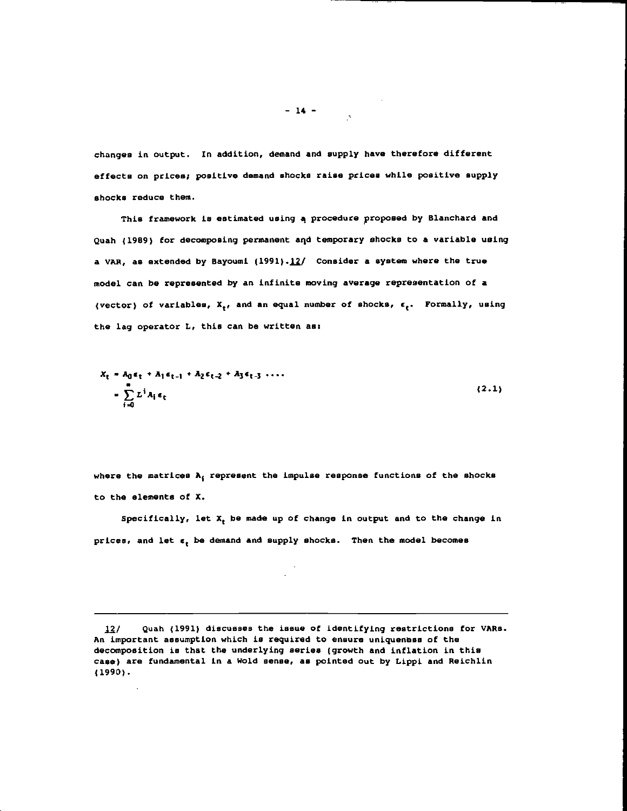changes in output. In addition, demand and supply have therefore different effects on prices; positive demand shocks raise prices while positive supply shocks reduce them.

This framework is estimated using a procedure proposed by Blanchard and Quah (1989) for decomposing permanent aqd temporary shocks to a variable using a VAR, as extended by Bayoumi  $(1991)$ . $12/$  Consider a system where the true model can be represented by an infinite moving average representation of a (vector) of variables,  $X_t$ , and an equal number of shocks,  $\epsilon_t$ . Formally, using the lag operator L, this can be written as:

$$
X_{t} = A_{0} \epsilon_{t} + A_{1} \epsilon_{t-1} + A_{2} \epsilon_{t-2} + A_{3} \epsilon_{t-3} \dots
$$
  
= 
$$
\sum_{i=0}^{m} L^{i} A_{i} \epsilon_{t}
$$
 (2.1)

where the matrices A, represent the impulse response functions of the shocks to the elements of X.

Specifically, let  $X_t$  be made up of change in output and to the change in  $prices$ , and let  $\epsilon$ , be demand and supply shocks. Then the model becomes

12/ Quah (1991) discusses the issue of identifying restrictions for VARs. An important assumption which is required to ensure uniquenoss of the decomposition is that the underlying series (growth and inflation in this case) are fundamental in a Wold sense, as pointed out by Lippi and Reichlin (1990).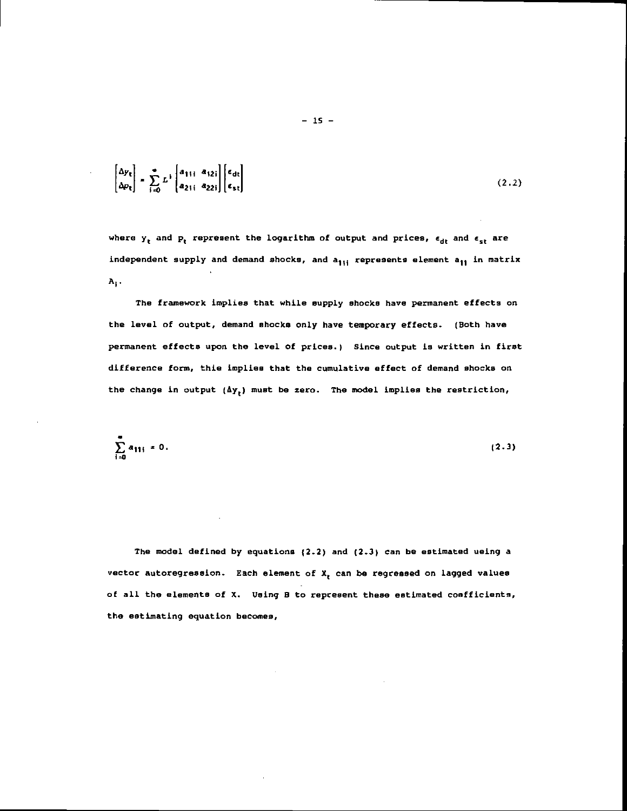$$
\begin{bmatrix} \Delta y_t \\ \Delta p_t \end{bmatrix} = \sum_{i=0}^{\infty} L^i \begin{bmatrix} a_{1i1} & a_{12i} \\ a_{21i} & a_{22i} \end{bmatrix} \begin{bmatrix} \epsilon_{dt} \\ \epsilon_{st} \end{bmatrix}
$$
 (2.2)

where  $y_t$  and  $p_t$  represent the logarithm of output and prices,  $\epsilon_{dt}$  and  $\epsilon_{st}$  are independent supply and demand shocks, and a<sub>lli</sub> represents element a<sub>ll</sub> in matrix  $A_i$ .

The framework implies that while supply shocks have permanent effects on the level of output, demand shocks only have temporary effects. (Both have permanent effects upon the level of prices.) Since output is written in first difference form, thie implies that the cumulative effect of demand shocks on the change in output  $(\Delta y_t)$  must be zero. The model implies the restriction,

$$
\sum_{i=0}^{\infty} a_{11i} = 0. \tag{2.3}
$$

The model defined by equations (2.2) and (2.3) can be estimated ueing a vector autoregression. Each element of X<sub>t</sub> can be regressed on lagged values of all the elements of X. Using B to represent these estimated cosfficients, the estimating equation becomes,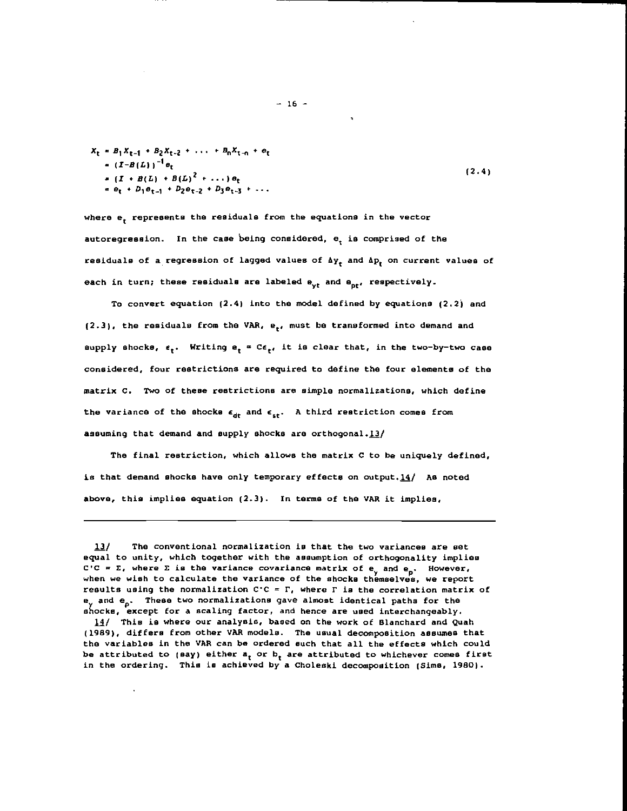$$
X_{t} = B_{1}X_{t-1} + B_{2}X_{t-2} + \dots + B_{n}X_{t-n} + e_{t}
$$
  
\n
$$
= (I + B(L))^{-1}e_{t}
$$
  
\n
$$
= (I + B(L) + B(L)^{2} + \dots) e_{t}
$$
  
\n
$$
= e_{t} + D_{1}e_{t-1} + D_{2}e_{t-2} + D_{3}e_{t-3} + \dots
$$
  
\n(2.4)

where e, represents the residuals from the equations in the vector autoregression. In the case being considered, e, is comprised of the residuals of a regression of lagged values of  $\Delta y_r$  and  $\Delta p_r$  on current values of each in turn; these residuals are labeled e<sub>vt</sub> and e<sub>nt</sub>, respectively.

To convert equation (2.4) into the model defined by equations (2.2) and  $(2.3)$ , the residuals from the VAR,  $e_t$ , must be transformed into demand and supply shocks,  $\epsilon_t$ . Writing  $e_t = Ce_{t}$ , it is clear that, in the two-by-two case considered, four restrictions are required to define the four elements of the matrix C. Two of these restrictions are simple normalizations, which define the variance of the shocks  $\epsilon_{dt}$  and  $\epsilon_{st}$ . A third restriction comes from assuming that demand and supply shocks are orthogonal.13/

The final restriction, which allows the matrix C to be uniquely defined, is that demand shocks have only temporary effects on output. 14/ As noted above, this implies equation (2.3). In terms of the VAR it implies,

14/ This is where our analysis, based on the work of Blanchard and Quah (1989), differs from other VAR models. The usual decomposition assumes that the variables in the VAR can be ordered such that all the effects which could be attributed to (say) either  $a_t$  or  $b_t$  are attributed to whichever comes first in the ordering. This is achieved by a Choleski decomposition (Sims, 1980).

The conventional normalization is that the two variances are set  $13/$ equal to unity, which together with the assumption of orthogonality implies C'C =  $\Sigma$ , where  $\Sigma$  is the variance covariance matrix of  $e_y$  and  $e_p$ . However, when we wish to calculate the variance of the shocks themselves, we report results using the normalization  $C^cC = \Gamma$ , where  $\Gamma$  is the correlation matrix of  $\mathbf{e}_{\mathbf{y}}$  and  $\mathbf{e}_{\mathbf{p}}$ . These two normalizations gave almost identical paths for the shocks, except for a scaling factor, and hence are used interchangeably.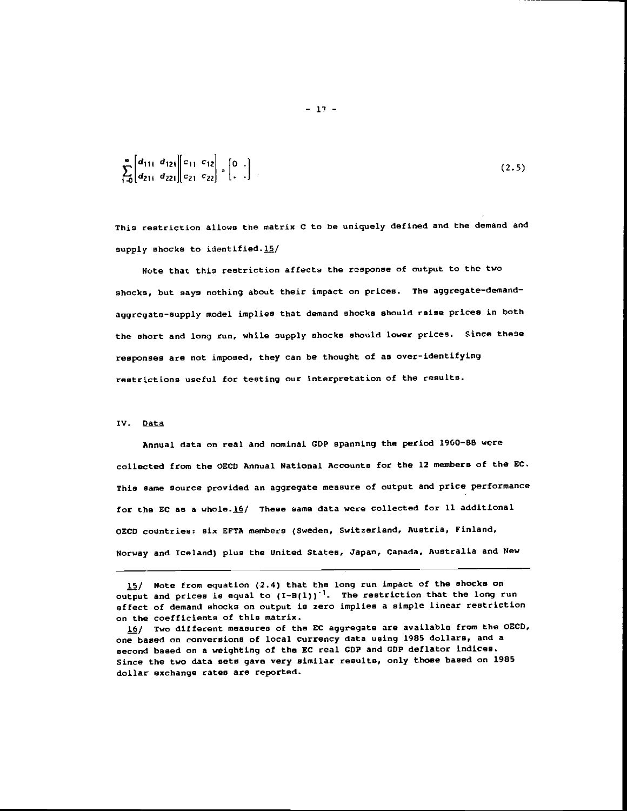$$
\sum_{i=0}^{\infty} \begin{bmatrix} d_{11i} & d_{12i} \\ d_{21i} & d_{22i} \end{bmatrix} \begin{bmatrix} c_{11} & c_{12} \\ c_{21} & c_{22} \end{bmatrix} + \begin{bmatrix} 0 \\ 1 \end{bmatrix} \tag{2.5}
$$

This restriction allows the matrix C to be uniquely defined and the demand and supply shocks to identified. $15/$ 

Note that this restriction affects the response of output to the two shocks, but says nothing about their impact on prices. The aggregate-demandaggregate—supply model implies that demand shocks should raise prices in both the short and long run, while supply shocks should lower prices. Since these responses are not imposed, they can be thought of as over—identifying restrictions useful for testing our interpretation of the results.

#### IV. Data

Annual data on real and nominal GDP spanning the period 1960—SB were collected from the OECD Annual National Accounts for the 12 members of the EC. This same source provided an aggregate measure of output and price performance for the EC as a whole.16/ These same data were collected for 11 additional OECD countries: six EFTA members (Sweden, Switzerland, Austria, Finland, Norway and Iceland) plus the United States, Japan, Canada, Australia and New

<sup>15/</sup> Note from equation (2.4) that the long run impact of the shocks on output and prices is equal to  $(I-B(1))^{-1}$ . The restriction that the long run effect of demand shocks on output is zero implies a simple linear restriction on the coefficients of this matrix.

<sup>16/</sup> Two different measures of the EC aggregate are available from the OECD, one based on conversions of local currency data using 198S dollars, and a second based on a weighting of the EC real CDP and GOP deflator indices. Since the two data sets gave very similar results, only those based on 1985 dollar exchange rates are reported.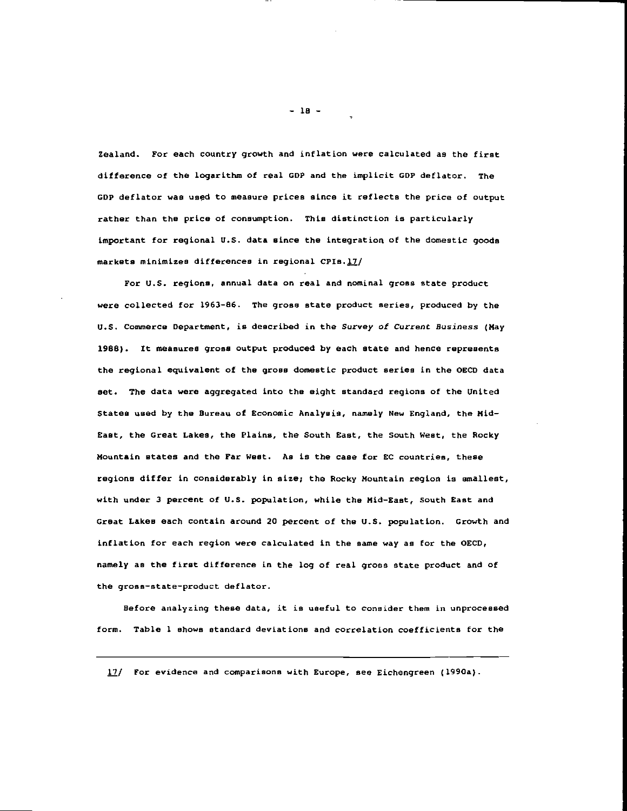Zealand. For each country growth and inflation were calculated as the first difference of the logarithm of real GOP and the implicit GDP deflator. The CDP deflator was used to measure prices since it reflects the price of output rather than the price of consumption. This distinction is particularly important for regional U.S. data since the integration of the domestic goods markets minimizes differences in regional CPIs.17/

For U.S. regions, annual data on real and nominal gross state product were collected for 1963—86. The gross state product series, produced by the U.S. Commerce Department, is described in the Survey of Current Business (May 1968). It measures gross output produced by each state and hence represents the regional equivalent of the gross domestic product series in the OECD data set. The data were aggregated into the eight standard regions of the United States used by the Bureau of Economic Analysis, namely New England. the Mid-East, the Great Lakes, the Plains, the South East, the South West, the Rocky Mountain states and the Far West. As is the case for EC countries, these regions differ in considerably in size; the Rocky Mountain region is smallest, with under 3 percent of U.S. population, while the Mid—East, South East and Great Lakes each contain around 20 percent of the U.S. population. Growth and inflation for each region were calculated in the same way as for the OECD, namely as the first difference in the log of real gross state product and of the gross—state—product deflator.

Before analyzing these data, it is useful to consider them in unprocessed form. Table 1 shows standard deviations and correlation coefficients for the

17/ For evidence and comparisons with Europe, see Eichengreen (1990a).

— 18 —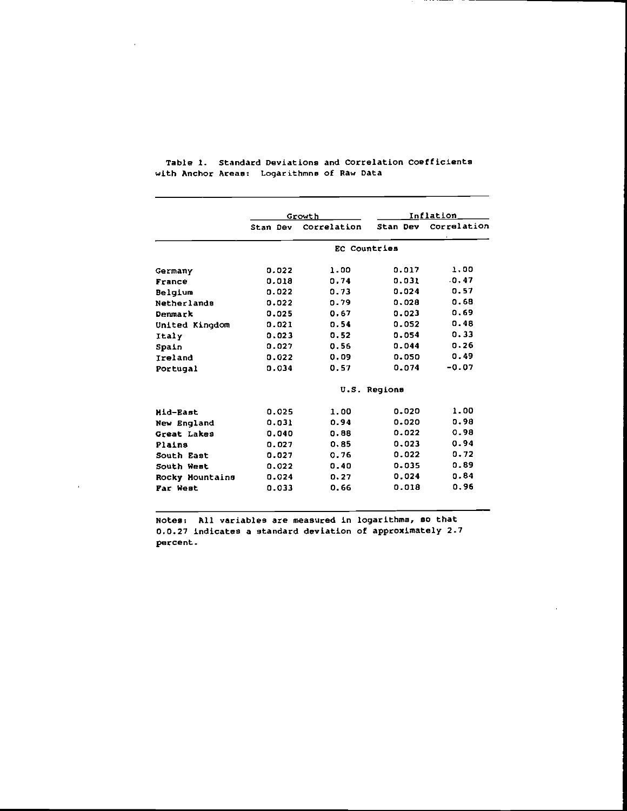|                    | Growth   |              | Inflation    |             |  |
|--------------------|----------|--------------|--------------|-------------|--|
|                    | Stan Dev | Correlation  | Stan Dev     | Correlation |  |
|                    |          | EC Countries |              |             |  |
| Germany            | 0.022    | 1.00         | 0.017        | 1.00        |  |
| France             | 0.018    | 0.74         | 0.031        | .0.47       |  |
| Belgium            | 0.022    | 0.73         | 0.024        | 0.57        |  |
| <b>Netherlands</b> | 0.022    | 0.79         | 0.028        | 0.68        |  |
| Denmark            | 0.025    | 0.67         | 0.023        | 0.69        |  |
| United Kingdom     | 0.021    | 0.54         | 0.052        | 0.48        |  |
| Italy              | 0.023    | 0.52         | 0.054        | 0.33        |  |
| Spain              | 0.027    | 0.56         | 0.044        | 0.26        |  |
| Ireland            | 0.022    | 0.09         | 0.050        | 0.49        |  |
| Portugal           | 0.034    | 0.57         | 0.074        | $-0.07$     |  |
|                    |          |              | U.S. Regions |             |  |
| Mid-East           | 0.025    | 1.00         | 0.020        | 1.00        |  |
| New England        | 0.031    | 0.94         | 0.020        | 0.98        |  |
| Great Lakes        | 0.040    | 0.88         | 0.022        | 0.98        |  |
| Plains             | 0.027    | 0.85         | 0.023        | 0.94        |  |
| South East         | 0.027    | 0.76         | 0.022        | 0.72        |  |
| South West         | 0.022    | 0.40         | 0.035        | 0.89        |  |
| Rocky Mountains    | 0.024    | 0.27         | 0.024        | 0.84        |  |
| Far West           | 0.033    | 0.66         | 0.018        | 0.96        |  |

Table 1. Standard Deviations and Correlation Coefticients with Anchor Areas: Logarithmne of Raw Data

Notes: All variables are measured in logarithms, so that 0.0.27 indicates a standard deviation of approximately 2.1 percent.

l,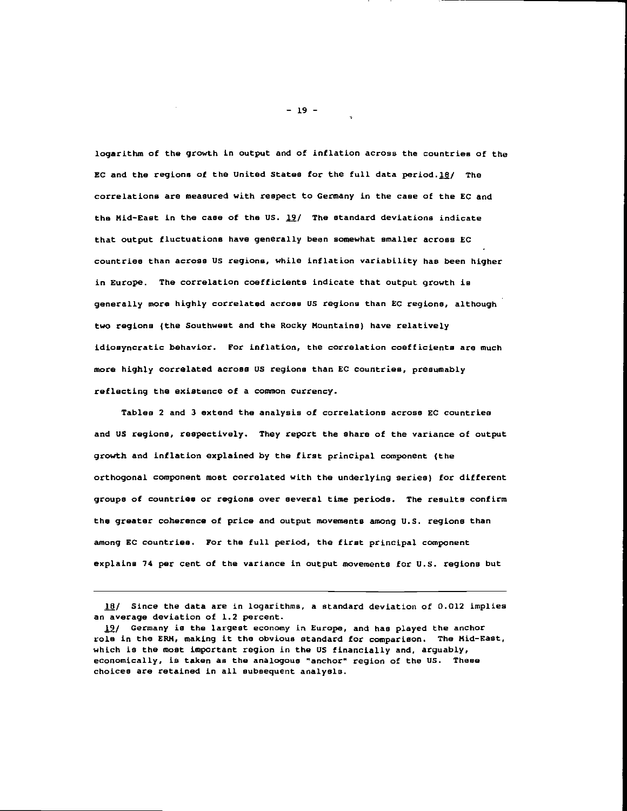logarithm of the growth in output and of inflation across the countries of the EC and the regions of the United States for the full data period.18/ The correlations are measured with respect to Germany in the case of the EC and the Mid-East in the case of the US.  $19/$  The standard deviations indicate that output fluctuations have generally been somewhat smaller across EC countries than across US regions, while inflation variability has been higher in Europe. The correlation coefficients indicate that output growth is generally more highly correlated across US regions than EC regions, although two regions (the Southwest and the Rocky Mountains) have relatively idiosyncratic behavior. For inflation, the correlation coefficients are much more highly correlated across US regions than EC countries, presumably reflecting the existence of a common currency.

tables 2 and 3 extend the analysis of correlations across EC countries and US regions, respectively. They report the share of the variance of output growth and inflation explained by the first principal component (the orthogonal component most correlated with the underlying series) for different groups of countries or regions over several time periods. The results confirm the greater coherence of price and output movements among U.S. regions than among EC countries. For the full period, the first principal component explains 74 per cent of the variance in output movements for U.S. regions but

 $18/$  Since the data are in logarithms, a standard deviation of 0.012 implies an average deviation of 1.2 percent.

19/ Germany is the largest economy in Europe, and has played the anchor role in the ERH, making it the obvious standard for comparison. The Mid-East, which is the most important region in the US financially and, arguably, economically, is taken as the analogous "anchor" region of the US. These choices are retained in all subsequent analysis.

 $-19-$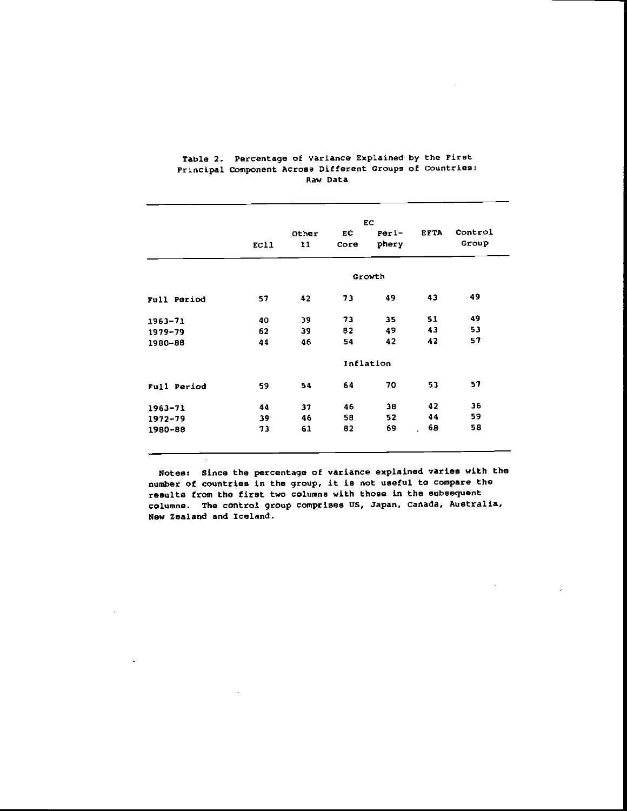|             |        |       |      | EC.       |             |         |
|-------------|--------|-------|------|-----------|-------------|---------|
|             |        | Other | EC   | $Peri-$   | <b>EFTA</b> | Control |
|             | EC11   | 11    | Core | phery     |             | Group   |
|             | Growth |       |      |           |             |         |
| Full Period | 57     | 42    | 73   | 49        | 43          | 49      |
| $1963 - 71$ | 40     | 39    | 73   | 35        | 51          | 49      |
| 1979-79     | 62     | 39    | 82   | 49        | 43          | 53      |
| 1980-88     | 44     | 46    | 54   | 42        | 42          | 57      |
|             |        |       |      | Inflation |             |         |
| Full Period | 59     | 54    | 64   | 70        | 53          | 57      |
| $1963 - 71$ | 44     | 37    | 46   | 38        | 42          | 36      |
| $1972 - 79$ | 39     | 46    | 58   | 52        | 44          | 59      |
| 1980-88     | 73     | 61    | 82   | 69        | 68          | 58      |

#### Table 2. Percentage of Variance Explained by the First Principal Component Across Different Groups of countries: Raw Data

Notes: Since the percentage of variance explained varies with the number of countries in the group, it is not useful to compare the results from the first two columns with those in the subsequent columns. The control group comprises US, Japan. Canada, Australia, New Zealand and Iceland.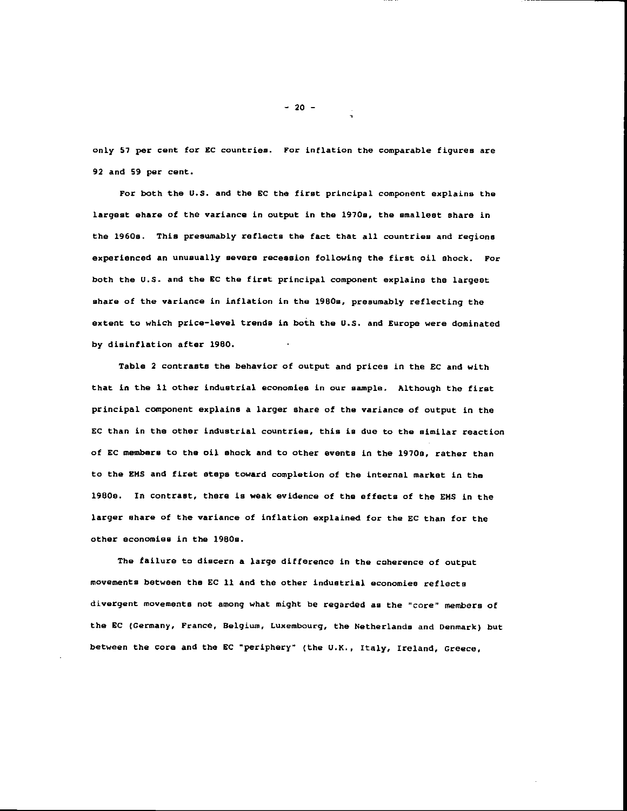only 57 per cent for EC countries. For inflation the comparable figures are 92 and 59 per cent.

For both the U.S. and the EC the first principal component explains the largest ehare of the variance in output in the 1970s, the smallest share in the 1960s. This presumably reflects the fact that all countries and regions experienced an unusually severe recession following the first oil shock. For both the U.S. and the EC the first principal component explains the largest share of the variance in inflation in the 1960s, presumably reflecting the extent to which price—level trends in both the U.S. and Europe were dominated by disinflation after 1980.

Table 2 contrasts the behavior of output and prices in the SC and with that in the 11 other industrial economies in our sample. Although the first principal component explains a larger share of the variance of output in the EC than in the other industrial countries, this is due to the similar reaction of EC members to the oil shock and to other events in the 1970s, rather than to the EMS and firet steps toward completion of the internal market in the 1980e. In contrast, there is weak evidence of the effects of the EMS in the larger share of the variance of inflation explained for the EC than for the other economies in the 1980s.

The failure to discern a large difference in the coherence of output movements between the EC 11 and the other industrial economies reflects divergent movements not among what might be regarded as the "core" members of the EC (Germany, France, Belgium, Luxembourg, the Netherlands and Denmark) but between the core and the EC "periphery" (the U.K., Italy, Ireland, Greece,

-20—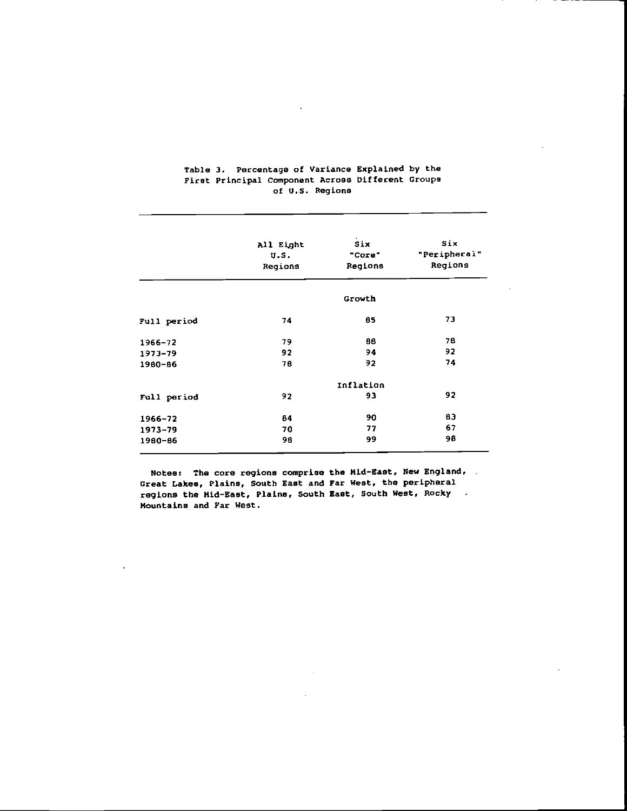|             | All Eight<br>U.S.<br>Regions | Six<br>"Core"<br>Regions | Six<br>"Peripheral"<br>Regions |
|-------------|------------------------------|--------------------------|--------------------------------|
|             |                              | Growth                   |                                |
| Full period | 74                           | 85                       | 73                             |
| $1966 - 72$ | 79                           | 88                       | 78                             |
| 1973-79     | 92                           | 94                       | 92                             |
| 1980-86     | 78                           | 92                       | 74                             |
|             |                              | Inflation                |                                |
| Full period | 92                           | 93                       | 92                             |
| 1966-72     | 84                           | 90                       | 83                             |
| 1973-79     | 70                           | 77                       | 67                             |
| 1980-86     | 98                           | 99                       | 98                             |

## Table 3. Percentage of Variance Explained by the First Principal Component Across Different Groups of U.S. Regions

 $\ddot{\phantom{1}}$ 

Notes: The core regions comprise the Mid-East, New England, Great Lakes, Plains, South East and Far West, the peripheral regions the Mid—East, Plains, South East, South West, Rocky Mountains and Far West.

 $\sim 10^7$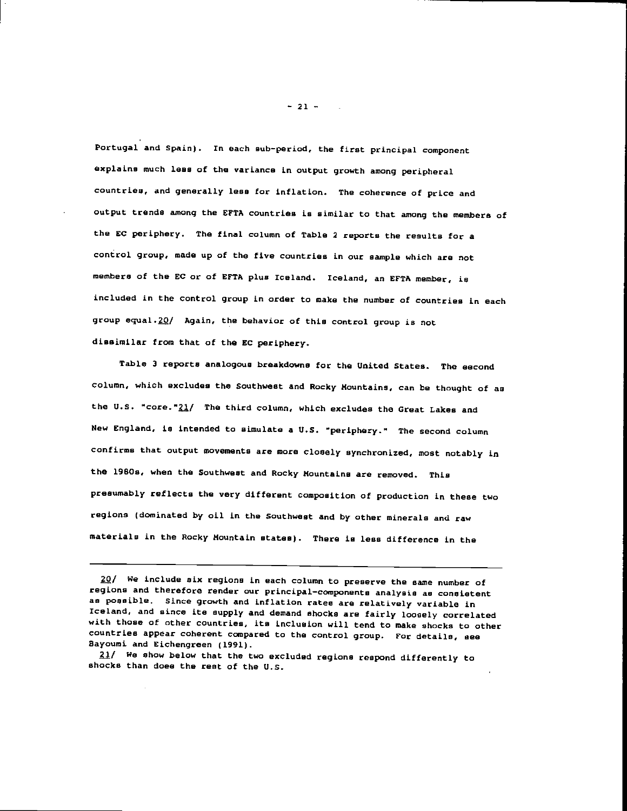Portugal and Spain). In each sub—period, the first principal component explains much less of the variance in output growth among peripheral countries, and generally less for inflation. The coherence of price and output trends among the EFTA countries is similar to that among the members of the EC periphery. The final column of Table 2 reports the results for a control group, made up of the five countries in our sample which are not members of the EC or of EFTA plus Iceland. Iceland, an EFTA member, is included in the control group in order to make the number of countries in each group equal.20/ Again, the behavior of this control group is not dissimilar from that of the EC periphery.

Table 3 reports analogous breakdowns for the United States. The second column, which excludes the Southwest and Rocky Mountains, can be thought of as the U.S. "core."21/ The third column, which excludes the Great Lakes and New England, is intended to simulate a U.S. "periphery." The second column confirms that output movements are more closely synchronized, most notably in the l9BOs, when the Southwest and Rocky Mountains are removed. This presumably reflects the very different composition of production in these two regions (dominated by oil in the Southwest and by other minerals and raw materials in the Rocky Mountain states). There is less difference in the

fl/ We show below that the two excluded regions respond differently to shocks than does the rest of the U.S.

 $-21 - 1$ 

<sup>20/</sup> We include six regions in each column to preserve the same number of regions and therefore render our principal—components analysis as consistent as possible. Since growth and inflation rates are relatively variable in Iceland, and since ite supply and demand shocks are fairly loosely correlated with those of other countries, its inclusion will tend to make shocks to other countries appear coherent compared to the control group. For details, see Bayoumi and Eichengreen (1991).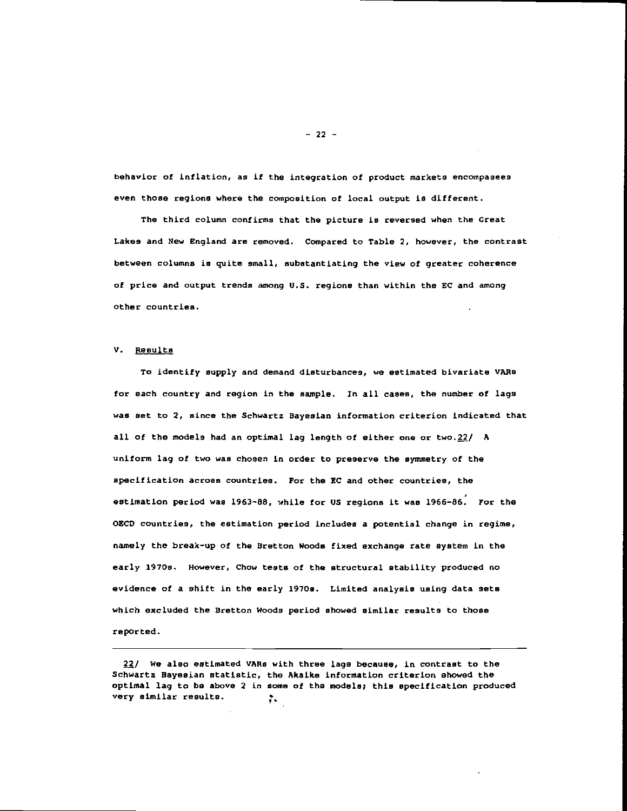behavior of inflation, as if the integration of product markets encompasses even those regions where the composition of local output is different.

The third column confirms that the picture is reversed when the Great Lakes and New England are removed. Compared to table 2, however, the contrast between columns is quite small, substantiating the view of greater coherence of price and output trends among U.S. regions than within the EC and among other countries.

#### V. Results

To identify supply and demand disturbances, we estimated bivariate VARs for each country and region in the sample. In all cases, the number of lags was set to 2, since the Schwartz Bayesian information criterion indicated that all of the models had an optimal lag length of either one or two. $22/$  A uniform lag of two was chosen in order to preserve the symmetry of the specification across countries. For the EC and other countries, the estimation period was 1963—88, while for US regions it was 1966—86. For the OECD countries, the estimation period includes a potential change in regime, namely the break—up of the Bretton Woods fixed exchange rate system in the early 1970s. However, Chow tests of the structural stability produced no evidence of a shift in the early 1970s. Limited analysis using data sets which excluded the Bretton Woods period showed similar results to those reported.

 $-22 -$ 

 $f$ / We also estimated VARs with three lags because, in contrast to the Schwartz Bayesian statistic, the Akaike information criterion showed the optimal lag to be above 2 In some of the models; this specification produced very similar results.P.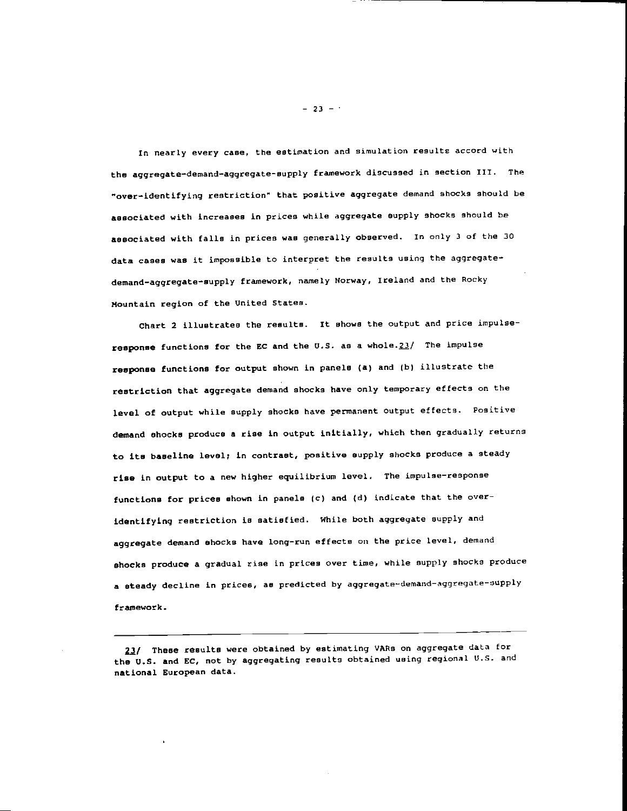In nearly every case, the estimation and simulation results accord with the aggregate—demand—aggregate—supply framework discussed in section III. The "over—identifying restriction" that positive aggregate demand shocks should be associated with increases in prices while aggregate supply shocks should be associated with falls in prices was generally observed. In only 3 of the 30 data cases was it impossible to interpret the results using the aggregate demand—aggregate—supply framework, namely Norway, Ireland and the Rocky Mountain region of the United States.

chart 2 illustrates the results. It shows the output and price impulseresponse functions for the EC and the U.S. as a whole. $23/$  The impulse response functions for output shown in panels (a) and (b) illustrate the restriction that aggregate demand shocks have only temporary effects on the level of output while supply shocks have permanent output effects. Positive demand shocks produce a rise in output initially, which then gradually returns to its baseline levsl; in contrast, positive supply shocks produce a steady rise in output to a new higher equilibrium level. The impulse—response functions for prices shown in panels (c) and (d) indicate that the overidentifying restriction is satisfied. While both aggregate supply and aggregate demand shocks have long-run effects on the price level, demand shocks produce a gradual rise in prices over time, while supply shocks produce a steady decline in prices, as predicted by aggregate-demand-aggregate-supply framework.

23/ These results were obtained by estimating VARs on aggregate data for the U.S. and EC, not by aggregating results obtained using regional U.S. and national European data.

 $-23 - 1$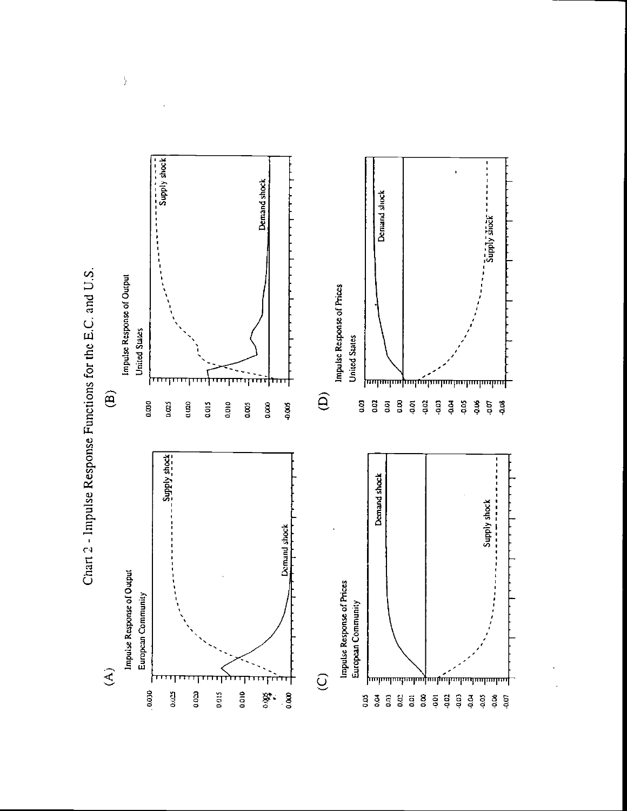

Chart 2 - Impulse Response Functions for the E.C. and U.S.

 $\frac{1}{2}$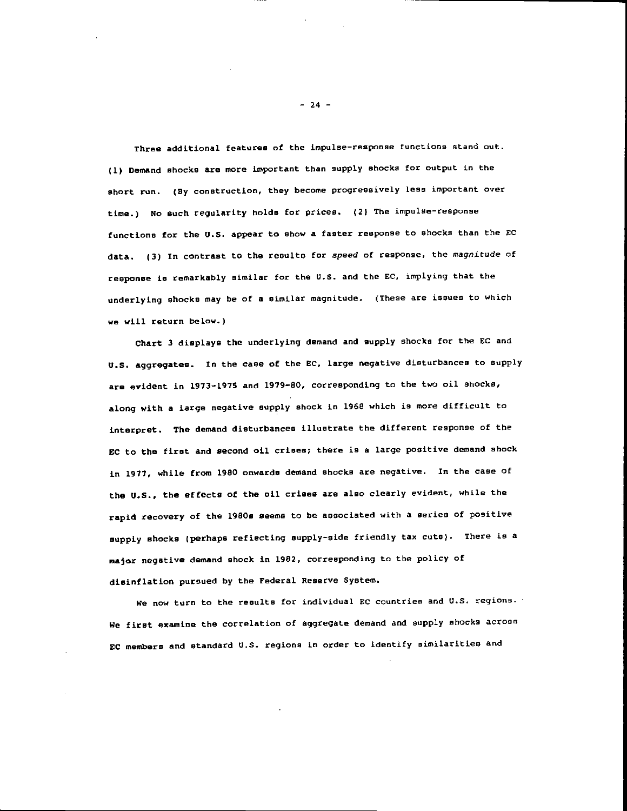Three additional features of the impulse—response functions stand out. (1) Demand shocks are more important than supply shocks for output in the short run. (By construction, they become progressively less important over time.) No such regularity holds for prices. (2) The impulse—response functions for the U.S. appear to show a faster response to shocks than the EC data. (3) In contrast to the results for speed of response, the magnitude of response is remarkably similar for the U.S. and the Ec, implying that the underlying shocks may be of a similar magnitude. (These are issues to which we will return below.)

chart 3 displays the underlying demand and supply shocks for the EC and U.S. aggregates. In the case of the EC, large negative disturbances to supply are evident in 1973—197S and 1979—80, corresponding to the two oil shocks, along with a large negative supply shock in 1968 which is more difficult to interpret. The demand disturbances illustrate the different response of the EC to the first and second oil crises; there is a large positive demand shock in 1971, while from 1980 onwards demand shocks are negative. In the case of the U.S., the effects of the oil crises are also clearly evident, while the rapid recovery of the 1980s seems to be associated with a series of positive supply shocks (perhaps reflecting supply—side friendly tax cuts). There is a major negative demand shock in 1982, corresponding to the policy of disinflation pursued by the Federal Reserve System.

We now turn to the results for individual EC countries and U.S. regions. We first examine the correlation of aggregate demand and supply shocks across EC members and standard U.S. regions in order to identify similarities and

— 24 —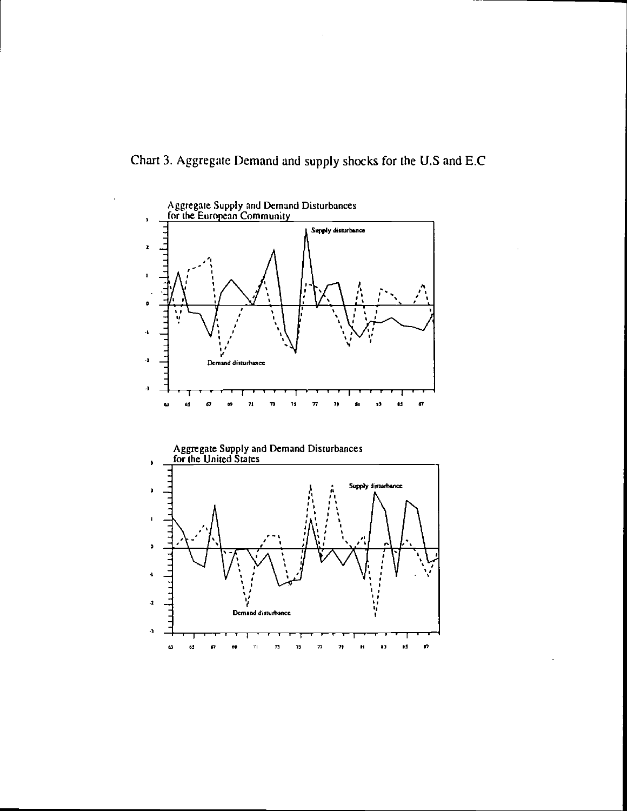

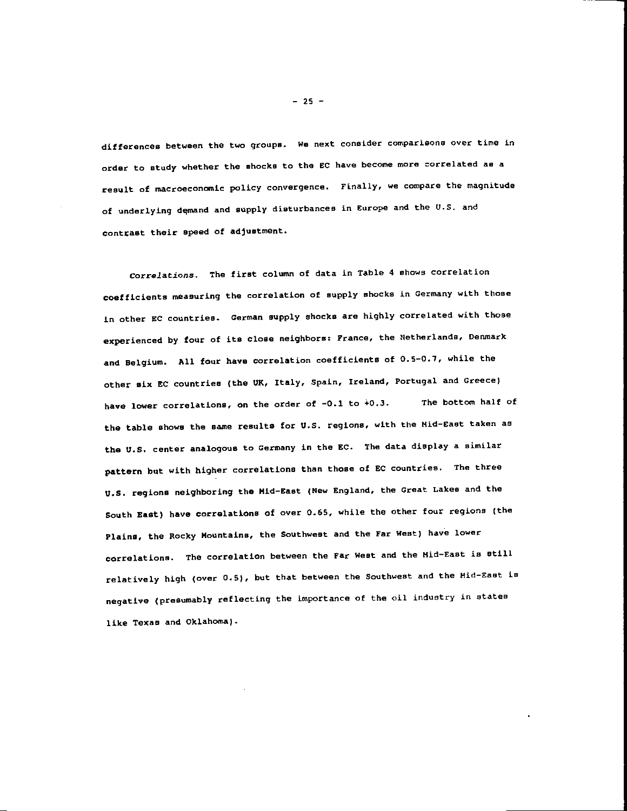differences between the two groups. We next consider comparisons over tine in order to study whether the shocks to the CC have become more correlated as a result of macroeconomic policy convergence. Finally, we compare the magnitude of underlying demand and supply disturbances in Europe and the U.S. and contrast their speed of adjustment.

Correlations. The first column of data in Table 4 shows correlation coefficients measuring the correlation of supply shocks in Germany with those in other EC countries. German supply shocks are highly correlated with those experienced by four of its close neighbors: France, the Netherlands, Denmark and Belgium. Alt four have correlation coefficients of 0.5—0.7, while the other six EC countries (the UK, ttaly, Spain, Ireland, Portugal and Greece) have lower correlations, on the order of -0.1 to +0.3. The bottom half of the table shows the same results for U.S. regions, with the Mid—East taken as the U.S. center analogous to Germany in the EC. The data display a similar pattern but with higher correlations than those of EC countries. The three u.s. regions neighboring the Mid—East (New England, the Great Lakes and the South East) have correlations of over 0.65, while the other four regions (the Plains, the Rocky Mountains, the Southwest and the Far West) have lower correlations. The correlation between the Far West and the Mid—East is still relatively high (over 0.5), but that between the Southwest and the Mid—East is negative (presumably reflecting the importance of the oil industry in states Like Texas and Oklahoma).

— 25 —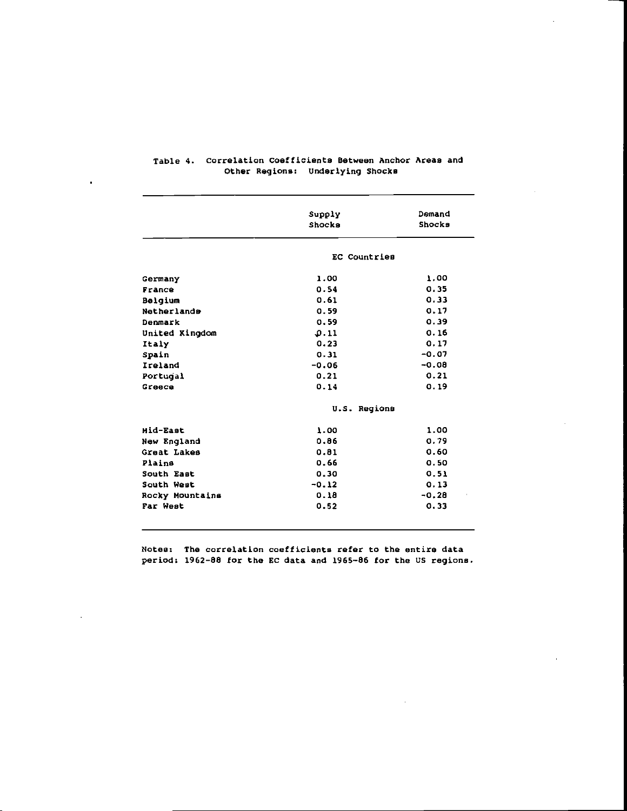|                 | Supply       | Demand  |  |  |
|-----------------|--------------|---------|--|--|
|                 | Shocks       | Shocks  |  |  |
|                 | EC Countries |         |  |  |
| Germany         | 1.00         | 1.00    |  |  |
| France          | 0.54         | 0.35    |  |  |
| Belgium         | 0.61         | 0.33    |  |  |
| Netherlande     | 0.59         | 0.17    |  |  |
| Denmark         | 0.59         | 0.39    |  |  |
| United Kingdom  | 0.11         | 0.16    |  |  |
| Italy           | 0.23         | 0.17    |  |  |
| Spain           | 0.31         | $-0.07$ |  |  |
| Ireland         | $-0.06$      | $-0.08$ |  |  |
| Portugal        | 0.21         | 0.21    |  |  |
| Greece          | 0.14         | 0.19    |  |  |
|                 | U.S. Regions |         |  |  |
| Mid-East        | 1.00         | 1.00    |  |  |
| New England     | 0.86         | 0.79    |  |  |
| Great Lakes     | 0.81         | 0.60    |  |  |
| Plains          | 0.66         | 0.50    |  |  |
| South East      | 0.30         | 0.51    |  |  |
| South West      | $-0.12$      | 0.13    |  |  |
| Rocky Mountains | 0.18         | $-0.28$ |  |  |
| Far West        | 0.52         | 0.33    |  |  |

#### Table 4. correlation Coefficients Between Anchor Areas and Other Regions: Underlying Shocks

 $\bullet$ 

Notes: The correlation coefficients refer to the entire data period: 1962—88 for the EC data and 1965—86 for the US regions.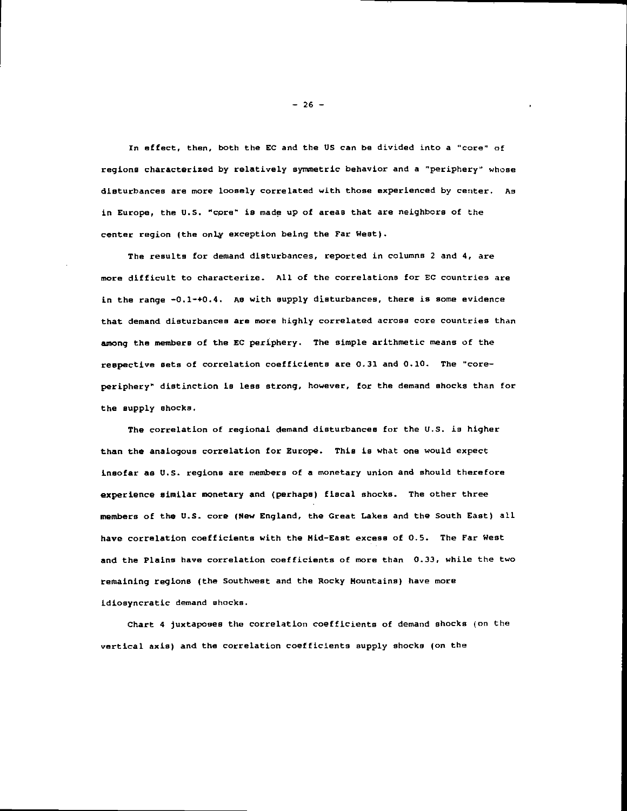In effect, then, both the EC and the US can be divided into a "core" of regions characterized by relatively symmetric behavior and a "periphery" whose disturbances are more loosely correlated with those experienced by center. As in Europe, the U.S. "core" is made up of areas that are neighbors of the center region (the only exception being the Far West).

The results for demand disturbances, reported in columns 2 and 4, are more difficult to characterize. All of the correlations for Ec countries are in the range  $-0.1-+0.4$ . As with supply disturbances, there is some evidence that demand disturbances are more highly correlated across core countries than among the members of the EC periphery. The simple arithmetic means of the respective sets of correlation coefficients are 0.31 and 0.10. The "core periphery" distinction is less strong, however, for the demand shocks than for the supply shocks.

The correlation of regional demand disturbances for the U.S. is higher than the analogous correlation for Europe. This is what one would expect insofar as U.S. regions are members of a monetary union and should therefore experience similar monetary and (perhaps) fiscal shocks. The other three members of the U.S. core (New England, the Great Lakes and the South East) all have correlation coefficients with the Mid—East excess of 0.5. The Far West and the Plains have correlation coefficients of more than 0.33, while the two remaining regions (the Southwest and the Rocky Mountains) have more idiosyncratic demand shocks.

chart 4 juxtaposes the correlation coefficients of demand shocks (on the vertical axis) and the correlation coefficients supply shocks (on the

 $-26 -$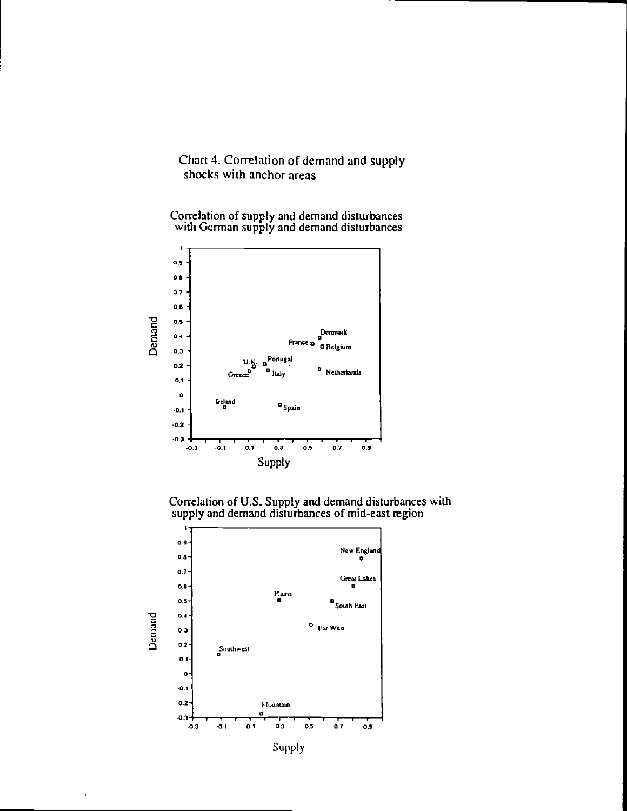## Chart 4. Correlation of demand and supply shocks with anchor areas

Correlation of supply and demand disturbances<br>with German supply and demand disturbances







 $\overline{a}$ 

Supply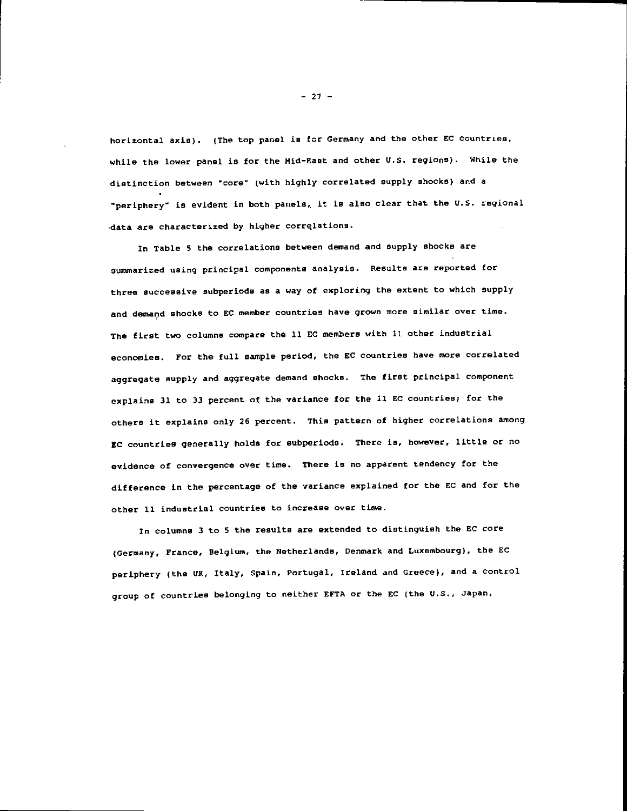horizontal axis). (The top panel is for Germany and the other EC countries, while the lower panel is for the Hid—East and other U.S. regions). While the distinction between "core" (with highly correlated supply shocks) and a "periphery" is evident in both panels, it is also clear that the U.S. regional data are characterized by higher correlations.

In Table S the correlations between demand and supply shocks are summarized using principal components analysis. Results are reported for three successive subperiods as a way of exploring the extent to which supply and demand shocks to EC member countries have grown more similar over time. The first two columns compare the 11 EC members with 11 other industrial economies. For the full sample period, the EC countries have more correlated aggregate supply and aggregate demand shocks. The first principal component explains 31 to 33 percent of the variance for the 11 EC countries; for the others it explains only 26 percent. This pattern of higher correlations among EC countries generally holds for subperiods. There is, however, little or no evidence of convergence over time. There is no apparent tendency for the difference in the percentage of the variance explained for the EC and for the other 11 industrial countries to increase over time.

In columns 3 to S the results are extended to distinguish the EC core (Germany, Trance, Belgium, the Netherlands. Denmark and Luxembourg), the EC periphery (the UK, Italy, Spain. Portugal. Ireland and Greece). and a control group of countries belonging to neither EFTA or the EC (the U.S., Japan,

 $-27 -$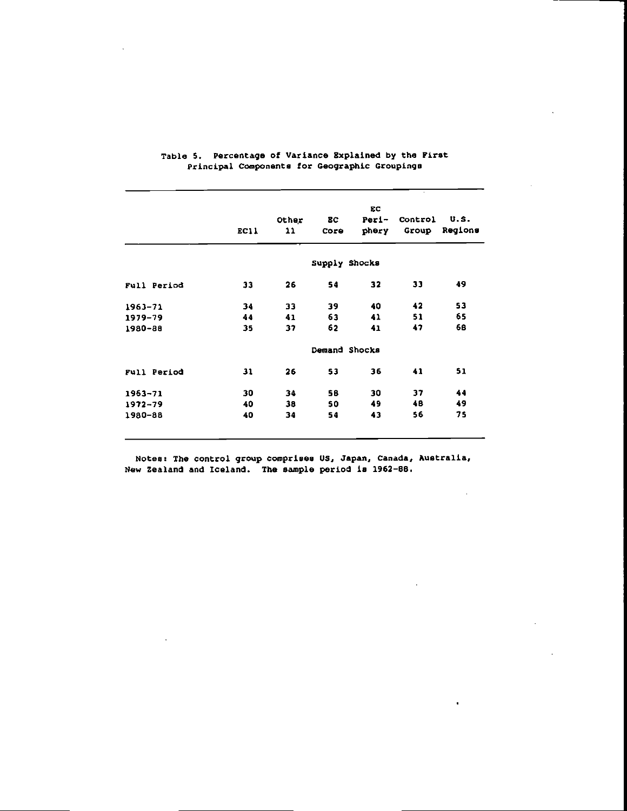|             |      | Other | EC            | EC.<br>Peri- | Control | U.S.    |
|-------------|------|-------|---------------|--------------|---------|---------|
|             | EC11 | 11    | Core          | phery        | Group   | Regions |
|             |      |       |               |              |         |         |
|             |      |       | Supply Shocks |              |         |         |
| Full Period | 33   | 26    | 54            | 32           | 33      | 49      |
| $1963 - 71$ | 34   | 33    | 39            | 40           | 42      | 53      |
| $1979 - 79$ | 44   | 41    | 63            | 41           | 51      | 65      |
| 1980-88     | 35   | 37    | 62            | 41           | 47      | 68      |
|             |      |       | Demand Shocks |              |         |         |
| Full Period | 31   | 26    | 53            | 36           | 41      | 51      |
| $1963 - 71$ | 30   | 34    | 58            | 30           | 37      | 44      |
| $1972 - 79$ | 40   | 38    | 50            | 49           | 48      | 49      |
|             | 40   | 34    | 54            | 43           | 56      | 75      |

## Table 5. Percentage of Variance Explained by the First Principal Components for Geographic Groupings

Notes: The control group comprises US, Japan. Canada, Australia, New Zealand and Iceland. The sample period is 1962-88.

 $\ddot{\phantom{a}}$ 

 $\bar{1}$ 

l,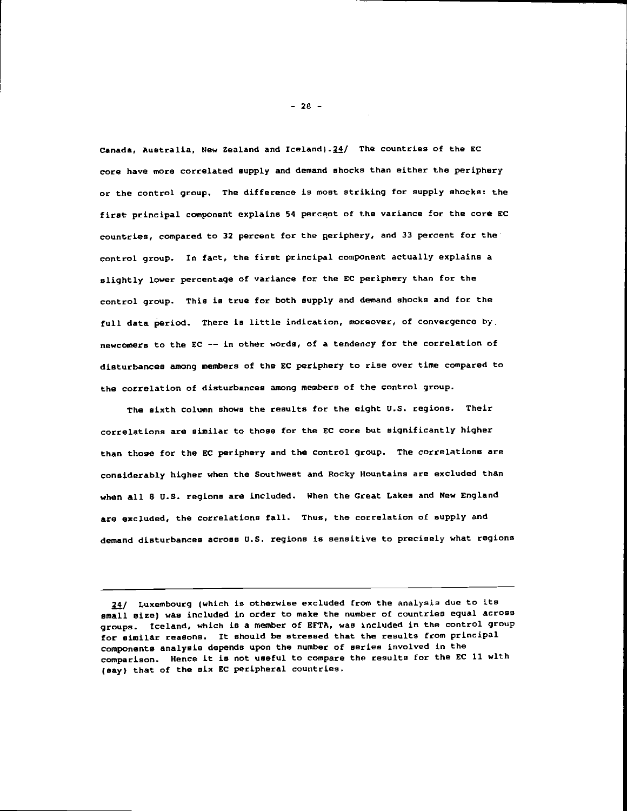Canada, Australia, New Zealand and Iceland). $24/$  The countries of the EC core have more correlated supply and demand shocks than either the periphery or the control group. The difference is most striking for supply shocks: the first principal component explains 54 percent of the variance for the core EC countries, compared to 32 percent for the periphery. and 33 percent for the control group. In fact, the first principal component actually explains a slightly lower percentage of variance for the EC periphery than for the control group. this is true for both supply and demand shocks and for the full data period. There is little indication, moreover, of convergence by. newcomers to the EC —— in other words, of a tendency for the correlation of disturbances among members of the EC periphery to rise over time compared to the correlation of disturbances among members of the control group.

The sixth column shows the results for the eight U.S. regions. Their correlations are similar to those for the EC core but significantly higher than those for the EC periphery and the control group. The correlations are considerably higher when the Southwest and Rocky Mountains are excluded than when all 8 u.s. regions are included. When the Great takes and New England are excluded, the correlations fall. Thus, the correlation of supply and demand disturbances across U.S. regions is sensitive to precisely what regions

 $-28 -$ 

<sup>24/</sup> Luxembourg (which is otherwise excluded from the analysis due to its small size) was included in order to make the number of countries equal across groups. Iceland, which is a member of EFTA, was included in the control group for similar reasons. It should be stressed that the results from principal components analysis depends upon the number of series involved in the comparison. Hence it is not useful to compare the results for the EC 11 with (say) that of the six EC peripheral countries.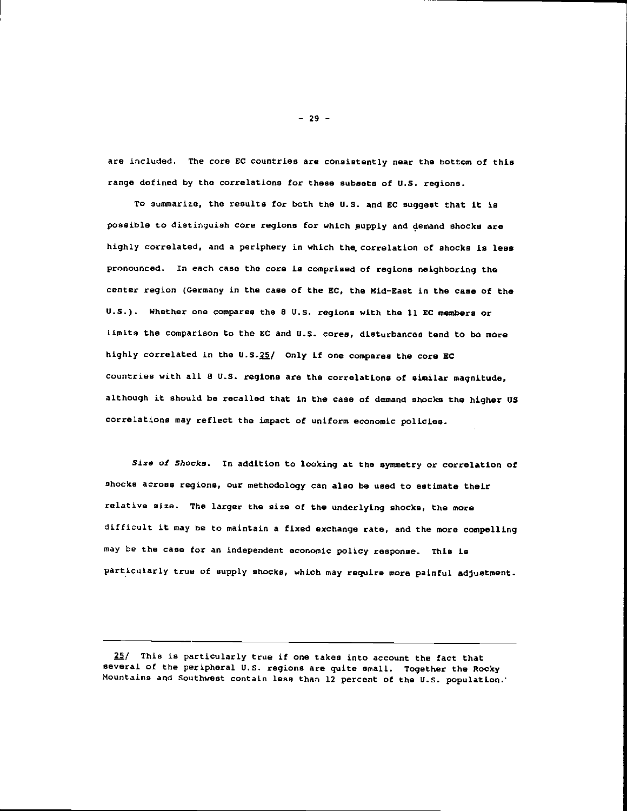are included. The core EC countries are consistently near the bottom of this range defined by the correlations for these subsets of U.S. regions.

To summarize, the results for both the U.S. and EC suggest that it is possible to distinguish core regions for which supply and demand shocks are highly correlated, and a periphery in which the correlation of shocks is less pronounced. In each case the core is comprised of regions neighboring the center region (Germany in the case of the EC, the Mid-East in the case of the U.S.). Whether one compares the 8 U.S. regions with the 11 EC members or limits the comparison to the EC and U.S. cores, disturbances tend to be more highly correlated in the U.S. $25/$  Only if one compares the core EC countries with all 8 U.S. regions are the correlations of similar magnitude, although it should be recalled that in the case of demand shocks the higher US correlations may reflect the impact of uniform economic policies.

Size of Shocks. In addition to looking at the symmetry or correlation of shocks across regions, our methodology can also be used to estimate their relative size. The Larger the size of the underlying shocks, the more difficult it may be to maintain a fixed exchange rate, and the more compelling may be the case for an independent economic policy response. This is particularly true of supply shocks, which may require more painful adjustment.

25/ This is particularly true if one takes into account the fact that several of the peripheral U.S. regions are quite small. Together the Rocky Mountains and Southwest contain less than 12 percent of the U.S. population.

 $-29 -$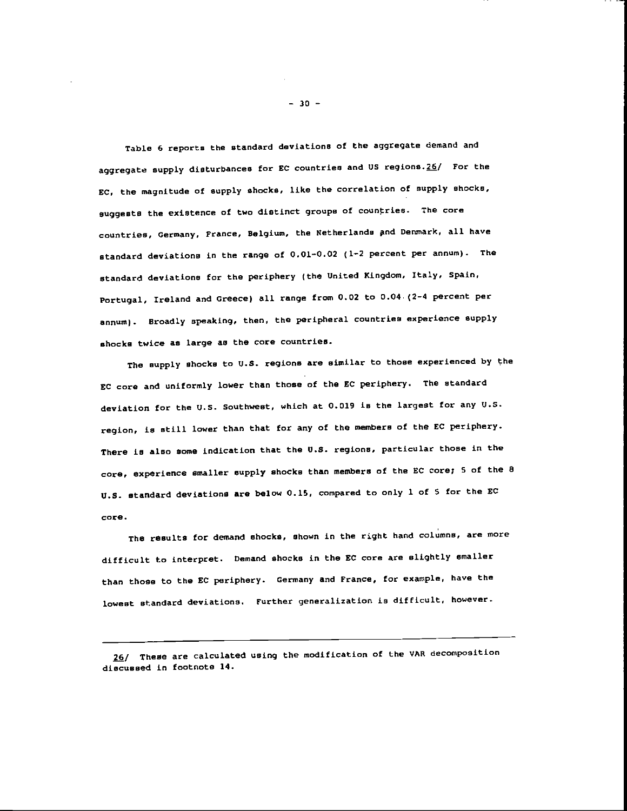Table 6 reports the standard deviations of the aggregate demand and aggregate supply disturbances for EC countries and US regions. $26/$  For the EC, the magnitude of supply shocks, like the correlation of supply shocks, suggests the existence of two distinct groups of countries. The core countries, Germany, France, Belgium, the Netherlands and Denmark, all have standard deviations in the range of 0.01—0.02 (1—2 percent per annum). The standard deviations for the periphery (the United Kingdom, Italy, Spain. Portugal, Ireland and Greece) all range from 0.02 to 0.04. (2-4 percent per annum). Broadly speaking, then, the peripheral countries experience supply shocks twice as large as the core countries.

The supply shocks to U.S. regions are similar to those experienced by the EC core and uniformly lower than those of the EC periphery. The standard deviation for the U.S. Southwest, which at 0.019 is the largest for any U.S. region, is still lower than that for any of the members of the EC periphery. There is also some indication that the U.S. regions, particular those in the core, experience smaller supply shocks than members of the EC core; 5 of the B U.S. standard deviations are below 0.15, compared to only 1 of S for the EC core.

The results for demand shocks, shown in the right hand columns, are more difficult to interpret. Demand shocks in the EC core are slightly smaller than those to the EC periphery. Germany and France, for example, have the lowest standard deviations. Further generalization is difficult, however.

 $-30 -$ 

<sup>26/</sup> These are calculated using the modification of the VAR decomposition discussed in footnote 14.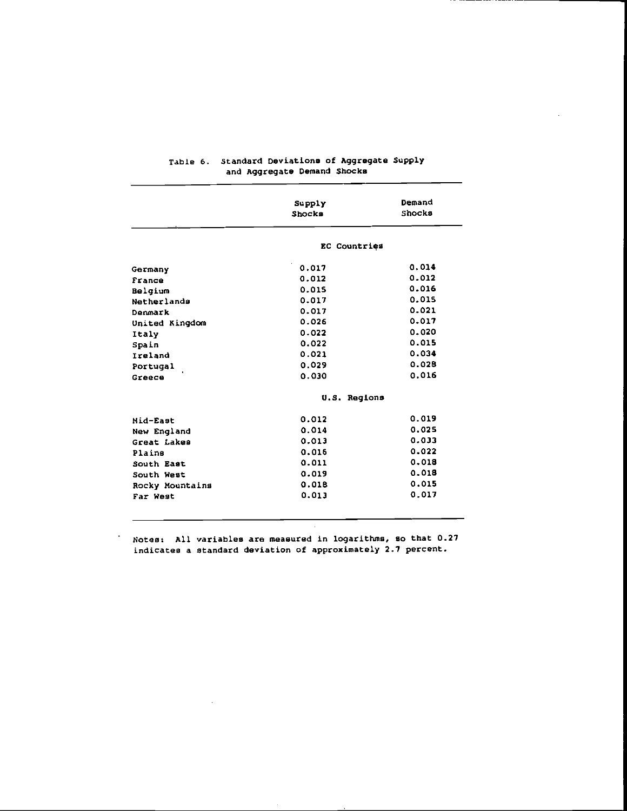|                 | Supply       | Demand |  |  |
|-----------------|--------------|--------|--|--|
|                 | Shocks       | Shocks |  |  |
|                 | EC Countries |        |  |  |
| Germany         | 0.017        | 0.014  |  |  |
| France          | 0.012        | 0.012  |  |  |
| Belgium         | 0.015        | 0.016  |  |  |
| Netherlands     | 0.017        | 0.015  |  |  |
| Denmark         | 0.017        | 0.021  |  |  |
| United Kingdom  | 0.026        | 0.017  |  |  |
| Italy           | 0.022        | 0.020  |  |  |
| Spain           | 0.022        | 0.015  |  |  |
| Ireland         | 0.021        | 0.034  |  |  |
| Portugal        | 0.029        | 0.028  |  |  |
| Greece          | 0.030        | 0.016  |  |  |
|                 | U.S. Regions |        |  |  |
| Mid-East        | 0.012        | 0.019  |  |  |
| New England     | 0.014        | 0.025  |  |  |
| Great Lakes     | 0.013        | 0.033  |  |  |
| Plains          | 0.015        | 0.022  |  |  |
| South East      | 0.011        | 0.018  |  |  |
| South West      | 0.019        | 0.018  |  |  |
| Rocky Mountains | 0.018        | 0.015  |  |  |
| Far West        | 0.013        | 0.017  |  |  |

## Table 6. standard Deviations of Aggregate Supply and Aggregate Demand Shocks

Notes: All variables are measured in logarithms, so that 0.27 indicates a standard deviation of approximately 2.7 percent.

 $\mathcal{A}$ 

 $\ddot{\phantom{a}}$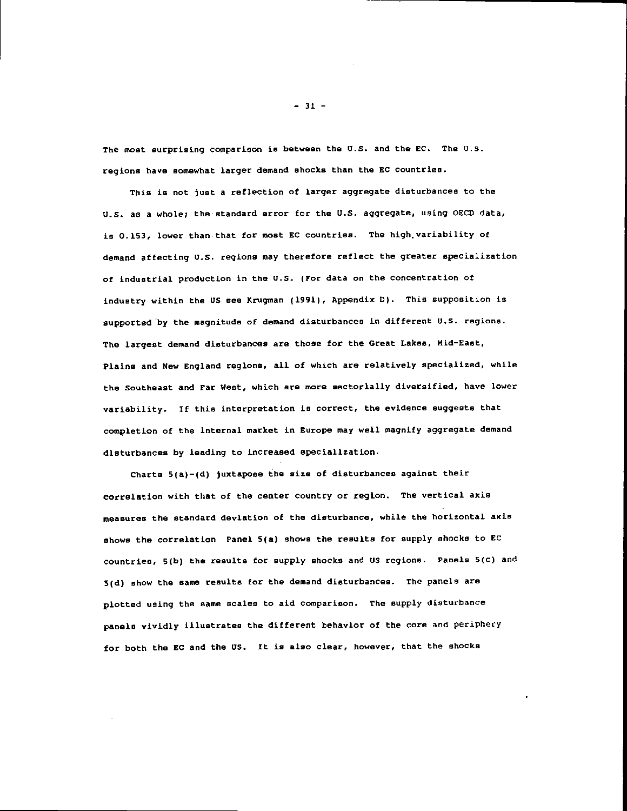The most surprising comparison is between the U.S. and the EC. The U.S. regions have somewhat larger demand shocks than the SC countries.

This is not just a reflection of larger aggregate disturbances to the U.S. as a whole; the standard error for the U.S. aggregate, using QECO data, is 0.153, lower than that for most EC countries. The high variability of demand affecting U.S. regions may therefore reflect the greater specialization of industrial production in the U.S. (For data on the concentration of industry within the US see Krugman (1991), Appendix D). This supposition is supported by the magnitude of demand disturbances in different U.S. regions. The largest demand disturbances are those for the Great Lakes, Hid—East, Plains and New England regions, all of which are relatively specialized, while the Southeast and Far West, which are more sectorially diversified, have lower variability. If this interpretation is correct, the evidence suggests that completion of the internal market in Europe may well magnify aggregate demand disturbances by leading to increased specialization.

Charts 5(a)—(d) juxtapose the size of disturbances against their correlation with that of the center country or region. The vertical axis measures the standard deviation of the disturbance, while the horizontal axis shows the correlation Panel 5(a) shows the results for supply shocks to EC countries, 5(b) the results for supply shocks and US regions. Panels 5(c) and 5(d) show the same results for the demand disturbances. The panels are plotted using the same scales to aid comparison. The supply disturbance panels vividly illustrates the different behavior of the core and periphery for both the EC and the US. It is also clear, however, that the shocks

 $-31 -$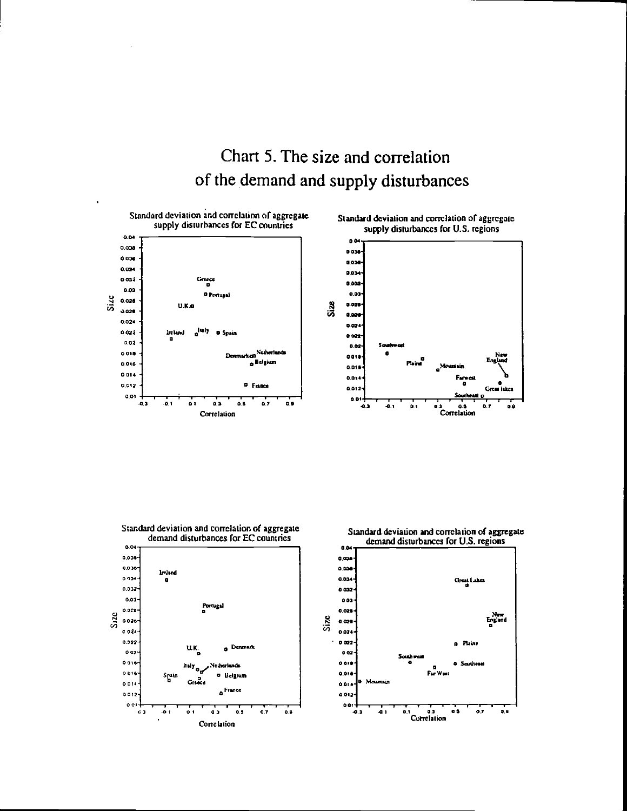# Chart 5. The size and correlation of the demand and supply disturbances









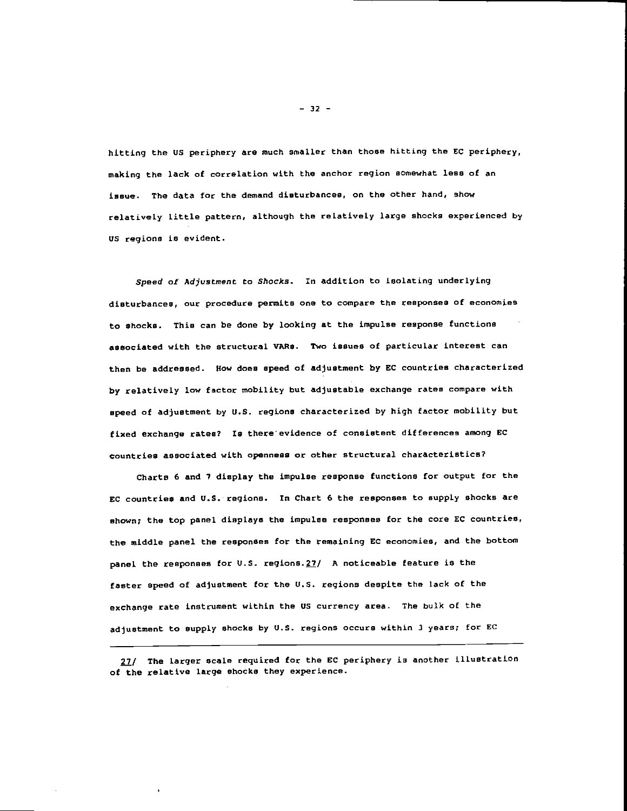hitting the US periphery are much smaller than those hitting the EC periphery, making the lack of correlation with the anchor region somewhat less of an issue. The data for the demand disturbances, on the other hand, show relatively little pattern, although the relatively large shocks experienced by US regions is evident.

Speed of Adjustment to Shocks. In addition to isolating underlying disturbances, our procedure permits one to compare the responses of economjes to shocks. This can be done by looking at the impulse response functions associated with the structural VMs. Two issues of particular interest can then be addressed. how does speed of adjustment by EC countries characterized by relatively low factor mobility but adjustable exchange rates compare with speed of adjustment by U.S. regions characterized by high factor mobility but fixed exchange rates? Is there evidence of consistent differences among EC countries associated with openness or other structural characteristics?

Charts 6 and 7 display the impulse response functions for output for the EC countries and U.S. regions. In Chart 6 the responses to supply shocks are shown; the top panel displays the impulse responses for the core EC countries, the middle panel the responses for the remaining EC economie9, and the bottom panel the responses for U.S. regions. $27/$  A noticeable feature is the faster speed of adjustment for the U.S. regions despite the lack of the exchange rate instrument within the US currency area. The bulk of the adjustment to supply shocks by U.S. regions occurs within 3 years; for EC

27/ The larger scale required for the EC periphery is another illustration of the relative large shocks they experience.

— 32 —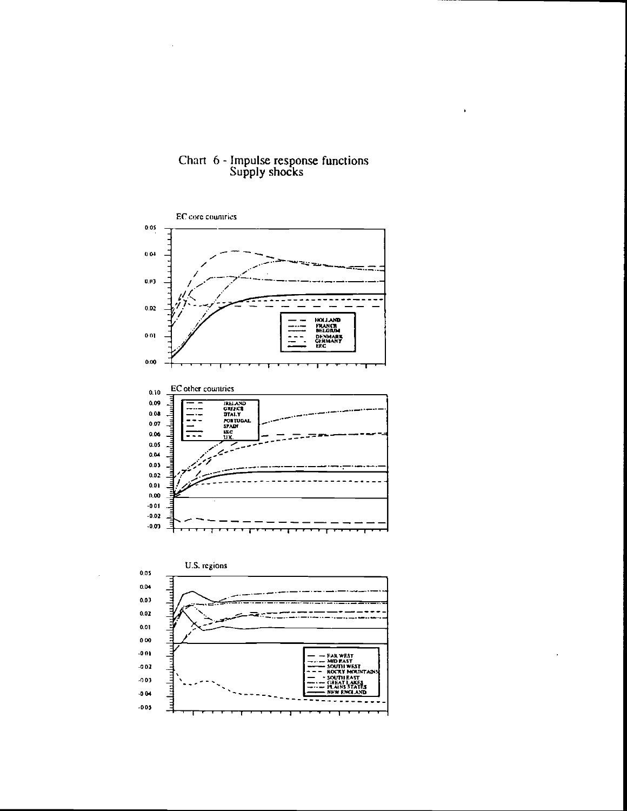

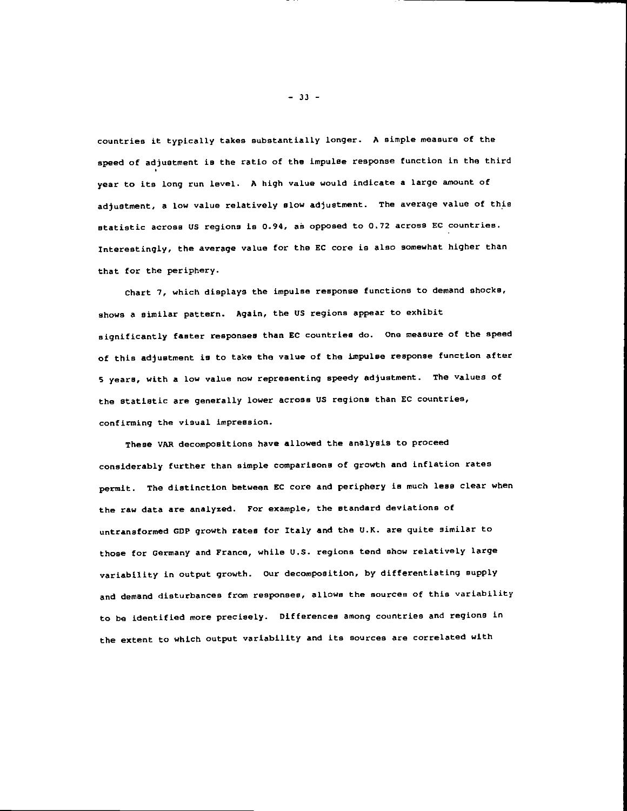countries it typically takes substantially longer. A simple measure of the speed of adjustment is the ratio of the impulse response function in the third year to its long run level. A high value would indicate a large amount of adjustment, a low value relatively glow adjustment. The average value of this statistic across US regions is 0.94, as opposed to 0.72 across EC countries. Interestingly, the average value for the EC core is also somewhat higher than that for the periphery.

Chart 7, which displays the impulse response functions to demand shocks, shows a similar pattern. Again, the US regions appear to exhibit significantly faster responses than EC countries do. One measure of the speed of this adjustment is to take the value of the impulse response function after 5 years, with a low value now representing speedy adjustment. The values of the statistic are generally lower across US regions than EC countries, confirming the visual impression.

These VAR decompositions have allowed the analysis to proceed considerably further than simple comparisons of growth and inflation rates permit. The distinction between EC core and periphery is much less clear when the raw data are analyzed. For example, the standard deviations of untransformed GDP growth rates for Italy and the U.K. are quite similar to those for Germany and France, while U.S. regions tend show relatively large variability in output growth. Our decomposition, by differentiating supply and demand disturbances from responses, allows the sources of this variability to be identified more precisely. Differences among countries and regions in the extent to which output variability and its sources are correlated with

— 33 —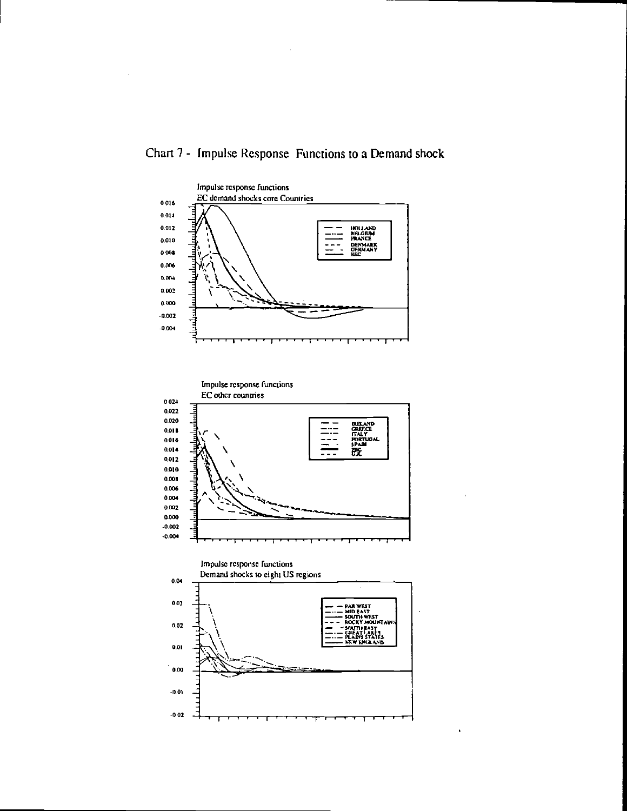

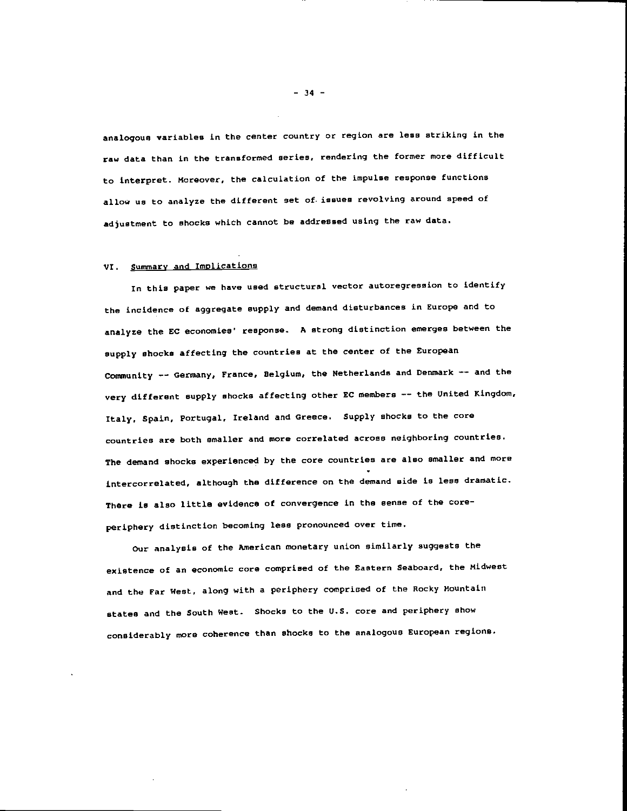analogous variables in the center country or region are less striking in the raw data than in the transformed series, rendering the former more difficult to interpret. Moreover, the calculation of the impulse response functions allow us to analyze the different set of issues revolving around speed of adjustment to shocks which cannot be addressed using the raw data.

#### VI. Summary and Implications

In this paper we have used structural vector autoregression to identify the incidence of aggregate supply and demand disturbances in Europe and to analyze the EC economies' response. A strong distinction emerges between the supply shocks affecting the countries at the center of the European Community —— Germany, France, Belgium, the Netherlands and Denmark —— and the very different supply shocks affecting other EC members -- the United Kingdom, Italy. Spain, Portugal, Ireland and Greece. Supply shocks to the core countries are both smaller and more correlated across neighboring countries. The demand shocks experienced by the core countries are also smaller and more intercorrelated, although the difference on the demand side is less dramatic. There is also little evidence of convergence in the sense of the coreperiphery distinction becoming less pronounced over time.

Our analysis of the American monetary union similarly suggests the existence of an economic core comprised of the Eastern Seaboard, the Midwest and the Far West, along with a periphery comprised of the Rocky Mountain states and the South West. Shocks to the U.S. core and periphery show considerably more coherence than shocks to the analogous European regions.

 $-34 -$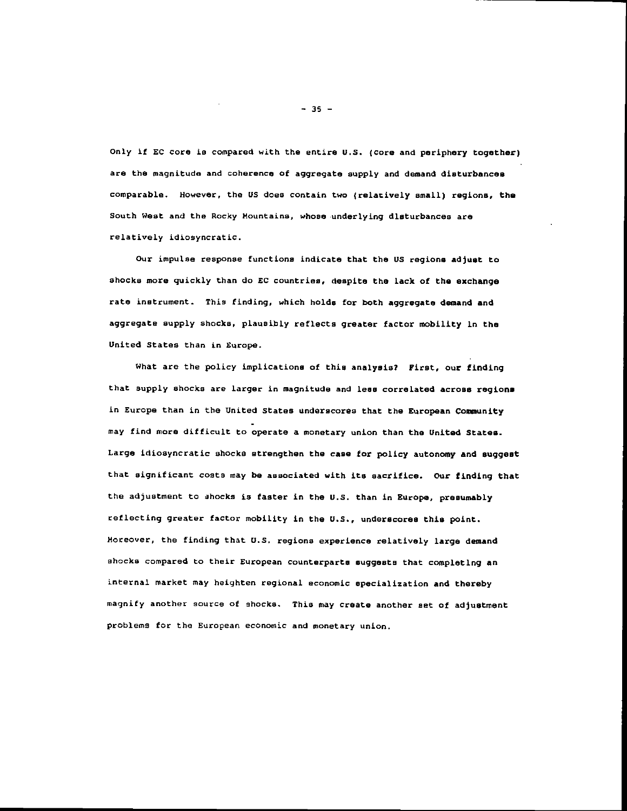Only if EC core is compared with the entire U.S. (core and periphery together) are the magnitude and coherence of aggregate supply and demand disturbances comparable. However, the US does contain two (relatively small) regions, the South West and the Rocky Mountains, whose underlying disturbances are relatively idiosyncratic.

Our impulse response functions indicate that the US regions adjust to shocks more quickly than do EC countries, despite the lack of the exchange rate instrument. This finding, which holds for both aggregate demand and aggregate supply shocks, plausibly reflects greater factor mobility in the United States than in Europe.

What are the policy implications of this analysis? First, our finding that supply shocks are larger in magnitude and less correlated across regions in Europe than in the United States underscores that the European Community may find more difficult to operate a monetary union than the United States. Large idiosyncratic shocks strengthen the case for policy autonomy and suggest that significant costs may be associated with its sacrifice. Our finding that the adjustment to shocks is faster in the U.S. than in Europe, presumably reflecting greater factor mobility in the U.S., underscores this point. Moreover, the finding that U.S. regions experience relatively large demand shocks compared to their European counterparts suggests that completing an internal market may heighten regional economic specialization and thereby magnify another source of shocks. This may create another set of adjustment problems for the European economic and monetary union.

 $-35 -$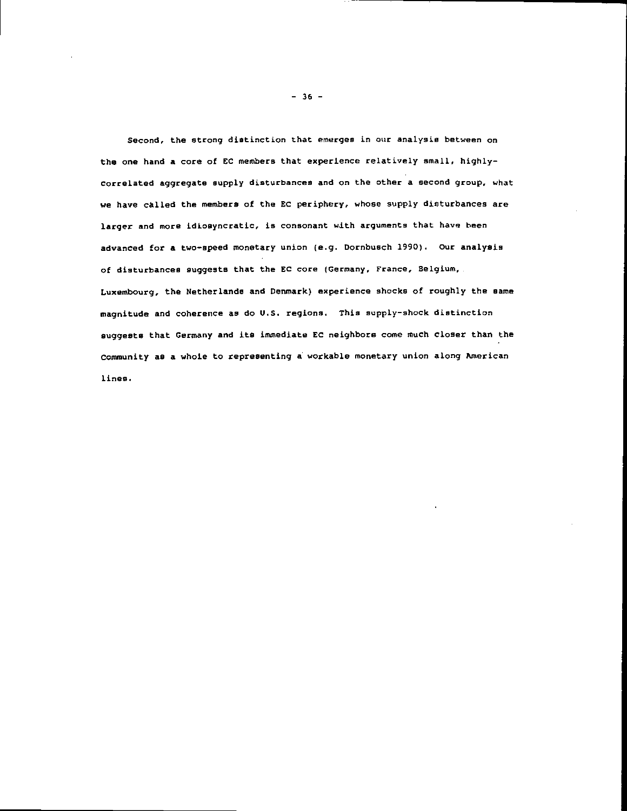Second, the strong distinction that emerges in our analysis between on the one hand a core of EC members that experience relatively small, highlycorrelated aggregate supply disturbances and on the other a second group, what we have called the members of the EC periphery, whose supply disturbances are larger and more idiosyncratic, is consonant with arguments that have been advanced for a two—speed monetary union (e.g. Dornbusch 1990). Our analysis of disturbances suggests that the EC core (Germany, France, Belgium, Luxembourg, the Netherlands and Denmark) experience shocks of roughly the same magnitude and coherence as do U.S. regions. This supply-shock distinction suggests that Germany and its immediate EC neighbors come much closer than the Community as a whole to representing a workable monetary union along American lines.

— 36 —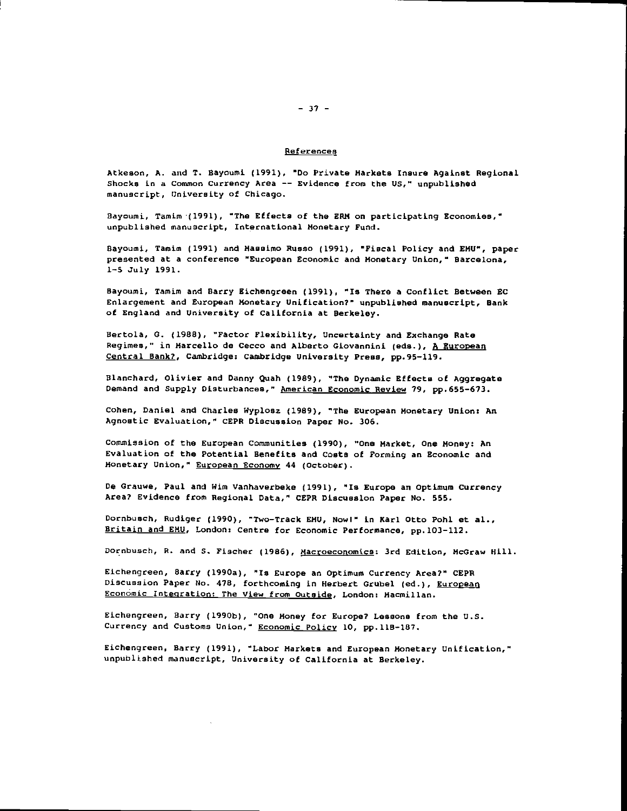#### References

Atkeson, A. and T. Bayoumi. (1991). "Do Private Markets Insure hgainst Regional Shocks in a Common Currency Area -- Evidence from the US," unpublished manuscript, University of Chicago.

Bayoumi, Tamim (1991). "The Effects of the ERM on participating Economies," unpublished manuscript, International Monetary Fund.

Bayoumi, Tamim (1991) and Hassimo Russo (1991), •Fiscal Policy and EHU", paper presented at a conference "European Economic and Monetary Union," Barcelona, 1—5 July 1991.

Bayouni, Tamim and Barry Kichengreen (1991), "Is There a Conflict Between EC Enlargement and European Monetary Unification?" unpublished manuscript, Bank of England and University of California at Berkeley.

Hertola, G. (1988), "Factor Flexibility, Uncertainty and Exchange Rate Regimes," in Marcello de Cecco and Alberto Giovannini (eds.), A European Central Bank?, Cambridge: Cambridge University Press, pp.95—119.

Blanchard, Olivier and Danny Quah (1989), "The Dynamic Effects of Aggregate Demand and Supply Disturbances," American Economic Review 79, pp.655—673.

Cohen, Daniel and Charles Wyplosz (1989), "The European Monetary Union: An Agnostic Evaluation," CEPR Discussion Paper No. 306.

Commission of the European Communities (1990), "One Market, one Money: An Evaluation of the Potential Benefits and Costs of Forming an Economic and Monetary Union," European Economy 44 (october).

De Grauwe, Paul and Wim Vanhaverbeke (1991), "Is Europe an optimum Currency Area? Evidence from Regional Data," CEPR Discussion Paper No. 555.

Dornbusch, Rudiger (1990), "Two-Track EMU, Nowl" in Karl Otto Pohl et al., Britain and EMU, London: Centre for Economic Performance, pp.103-112.

Dornbusch, R. and S. Fischer (1986), Macroeconomics: 3rd Edition, McGraw Hill.

Eichengreen, Barry (1990a), "Is Europe an Optimum Currency Area?" CEPR Discussion Paper No. 478, forthcoming in Herbert Grubel (ed.), European Economic Integration: The View from outside, London: Macmillan.

Eichengreen, Barry (l990b), "One Money for Europe? Lessons from the U.S. Currency and Customs Union," Economic Policy 10, pp.118—187.

Eichengreen, Barry (1991), "Labor Markets and European Monetary Unification," unpublished manuscript, University of California at Berkeley.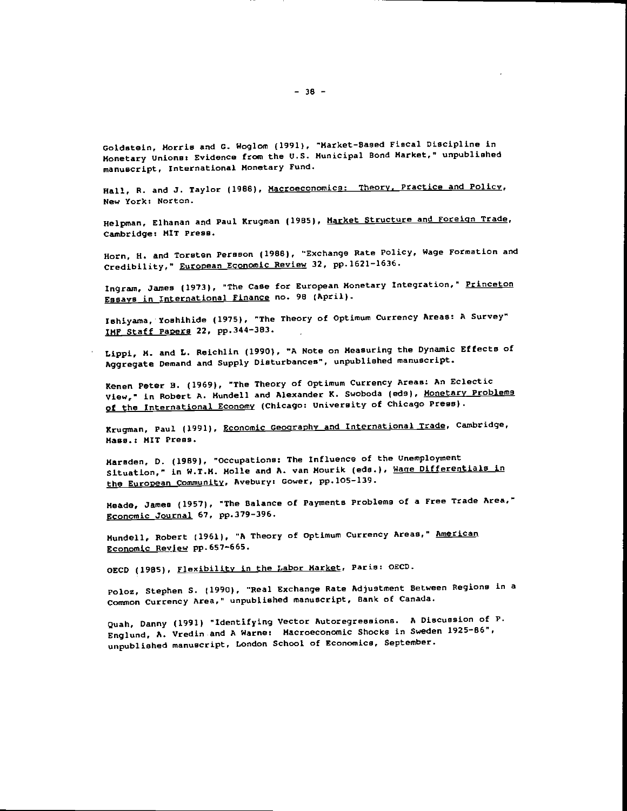Goldstein. Morris and C. Woglom (1991). "Market-Based Fiscal Discipline in Monetary Unions: Evidence from the U.S. Municipal Bond Market." unpublished manuscript. International Monetary Fund.

Hall, R. and J. Taylor (1988), Macroeconomics: Theory, Practice and Policy, New York: Norton.

Helpman, Elhanan and Paul Krugman (1985). Market Structure and Foreign Trade, Cambridge: MIT Press.

Horn, H. and Torsten Pereson (1988), "Exchange Rate Policy. Wage Formation and Credibility," European Economic Review 32, pp.1621—1636.

Ingram, James (1973), "The Case for European Monetary Integration," Princeton Essays in international Finance no. 98 (April).

Ishiyama, Yoshihide (1975), "The Theory of Optimum Currency Areas: A Survey" IMF Staff Papers 22, pp.344-383.

Lippi, K. and L. Reichlin (1990), "A Note on Measuring the Dynamic Effects of Aggregate Demand and Supply Disturbances", unpublished manuscript.

Kenen Peter B. (1969), "The Theory of optimum Currency Areas: An Eclectic View," in Robert A. Mundell and Alexander K. Swoboda (eds). Monetary Problems of the International Economy (Chicago: University of Chicago Press).

Krugman, Paul (1991), Economic Geography and International Trade, Cambridge, Mass.: MIT Press.

Marsden, D. (1989), "occupations: The Influence of the Unemployment Situation," in W.T.M. Molle and A. van Mourik (eds.), Wage Differentials in the European Community, Avebury: Cower, pp.lO5—l39.

Meade, James (1957), "The Balance of Payments Problems of a Free Trade Area," Economic Journal 61, pp.379—396.

Mundell, Robert (1961), "A Theory of Optimum Currency Areas," American Economic Review pp.657-665.

OECD (1985), Flexibility in the Labor Market, Paris: OECD.

Poloz, Stephen S. (1990). "Real Exchange Pate Adjustment Between Regions in a Common Currency Area," unpublished manuscript, Bank of Canada.

Quah, Danny (1991) "Identifying Vector Autoregressions. A Discussion of P. Englund, A. Vredin and A Warne: Macroeconomic Shocks in Sweden 1925—86", unpublished manuscript, London School of Economics, September.